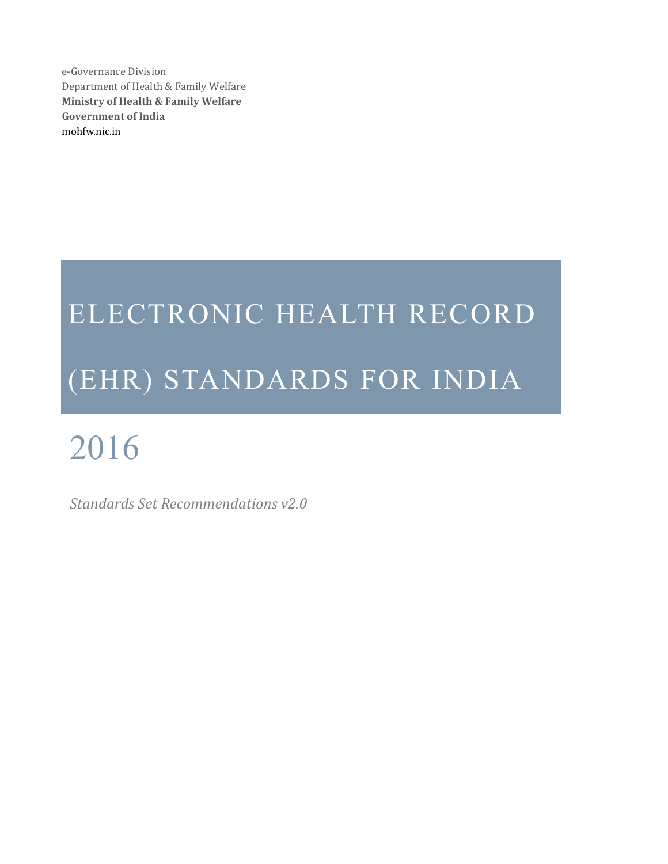e-Health Division Department of Health & Family Welfare **Ministry of Health & Family Welfare Government of India** mohfw.nic.in

# ELECTRONIC HEALTH RECORD (EHR) STANDARDS FOR INDIA

# 2016

*Standards Set Recommendations v2.0*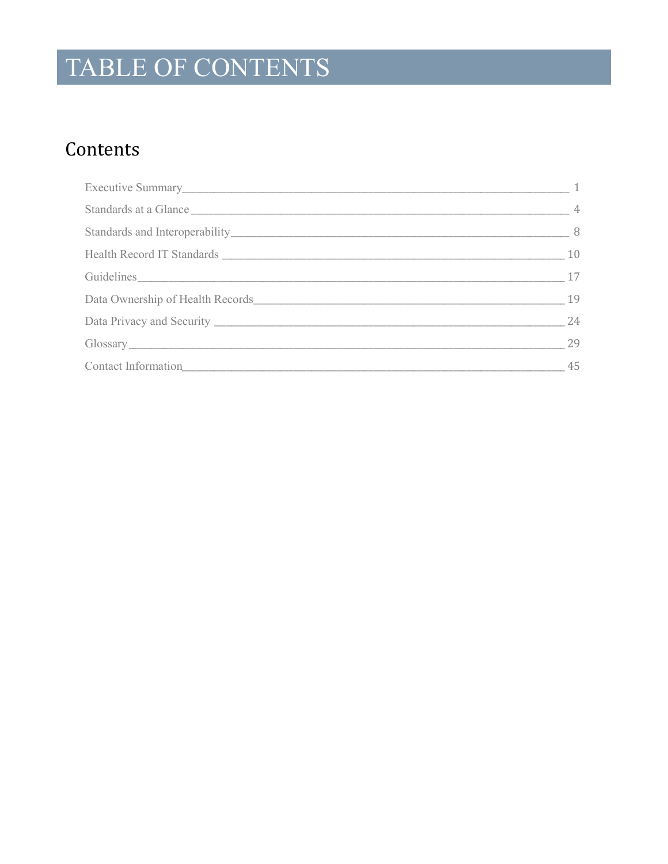# TABLE OF CONTENTS

### Contents

| Standards at a Glance 14 and 15 and 16 and 16 and 16 and 16 and 16 and 16 and 16 and 16 and 16 and 16 and 16 and 16 and 16 and 16 and 16 and 16 and 16 and 16 and 16 and 16 and 16 and 16 and 16 and 16 and 16 and 16 and 16 a |      |
|--------------------------------------------------------------------------------------------------------------------------------------------------------------------------------------------------------------------------------|------|
|                                                                                                                                                                                                                                | $-8$ |
|                                                                                                                                                                                                                                | 10   |
|                                                                                                                                                                                                                                | 17   |
|                                                                                                                                                                                                                                | 19   |
|                                                                                                                                                                                                                                | 24   |
|                                                                                                                                                                                                                                | 29   |
|                                                                                                                                                                                                                                | 45   |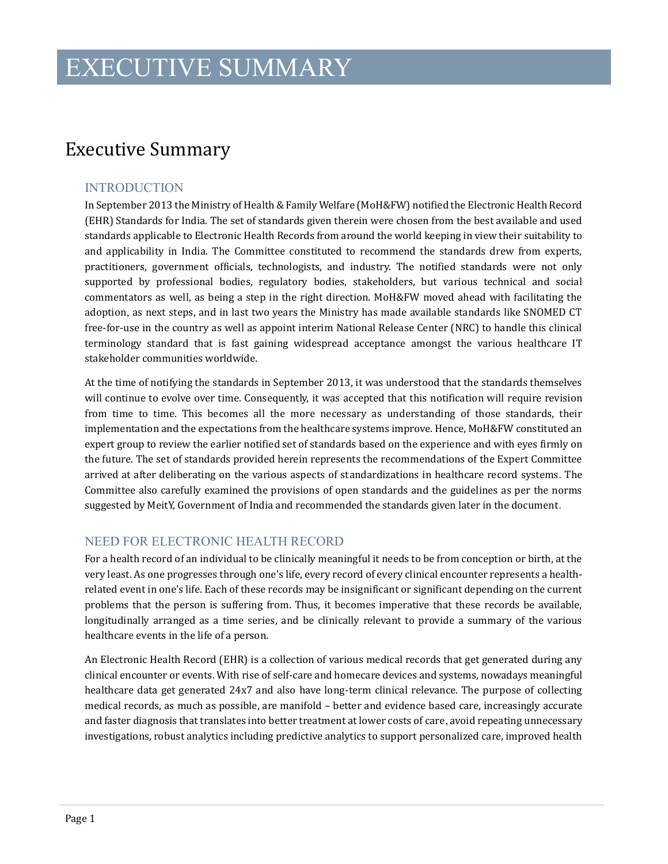### <span id="page-3-0"></span>Executive Summary

### INTRODUCTION

In September 2013 the Ministry of Health & Family Welfare (MoH&FW) notified the Electronic Health Record (EHR) Standards for India. The set of standards given therein were chosen from the best available and used standards applicable to Electronic Health Records from around the world keeping in view their suitability to and applicability in India. The Committee constituted to recommend the standards drew from experts, practitioners, government officials, technologists, and industry. The notified standards were not only supported by professional bodies, regulatory bodies, stakeholders, but various technical and social commentators as well, as being a step in the right direction. MoH&FW moved ahead with facilitating the adoption, as next steps, and in last two years the Ministry has made available standards like SNOMED CT free-for-use in the country as well as appoint interim National Release Center (NRC) to handle this clinical terminology standard that is fast gaining widespread acceptance amongst the various healthcare IT stakeholder communities worldwide.

At the time of notifying the standards in September 2013, it was understood that the standards themselves will continue to evolve over time. Consequently, it was accepted that this notification will require revision from time to time. This becomes all the more necessary as understanding of those standards, their implementation and the expectations from the healthcare systems improve. Hence, MoH&FW constituted an expert group to review the earlier notified set of standards based on the experience and with eyes firmly on the future. The set of standards provided herein represents the recommendations of the Expert Committee arrived at after deliberating on the various aspects of standardizations in healthcare record systems. The Committee also carefully examined the provisions of open standards and the guidelines as per the norms suggested by MeitY, Government of India and recommended the standards given later in the document.

### NEED FOR ELECTRONIC HEALTH RECORD

For a health record of an individual to be clinically meaningful it needs to be from conception or birth, at the very least. As one progresses through one's life, every record of every clinical encounter represents a healthrelated event in one's life. Each of these records may be insignificant or significant depending on the current problems that the person is suffering from. Thus, it becomes imperative that these records be available, longitudinally arranged as a time series, and be clinically relevant to provide a summary of the various healthcare events in the life of a person.

An Electronic Health Record (EHR) is a collection of various medical records that get generated during any clinical encounter or events. With rise of self-care and homecare devices and systems, nowadays meaningful healthcare data get generated 24x7 and also have long-term clinical relevance. The purpose of collecting medical records, as much as possible, are manifold – better and evidence based care, increasingly accurate and faster diagnosis that translates into better treatment at lower costs of care, avoid repeating unnecessary investigations, robust analytics including predictive analytics to support personalized care, improved health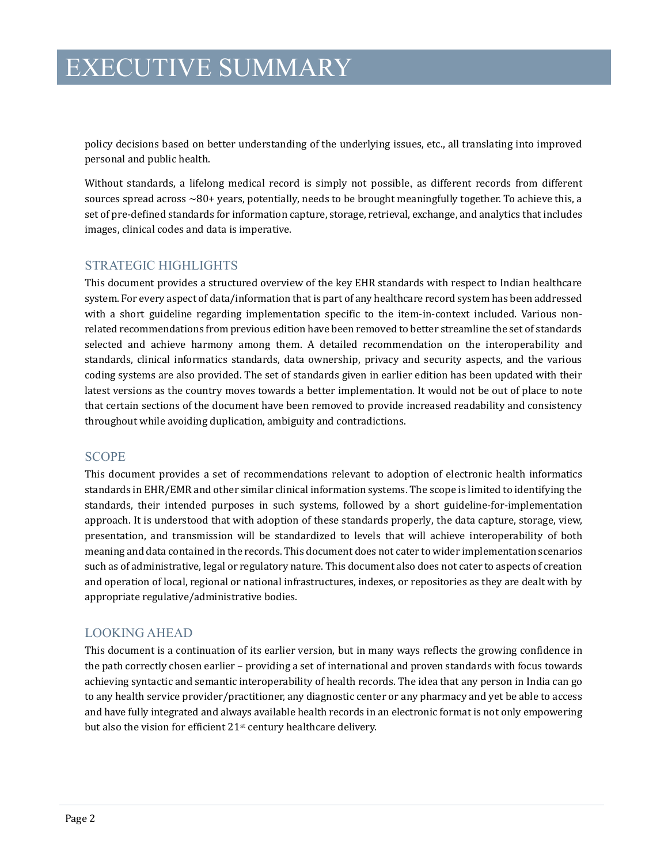policy decisions based on better understanding of the underlying issues, etc., all translating into improved personal and public health.

Without standards, a lifelong medical record is simply not possible, as different records from different sources spread across ~80+ years, potentially, needs to be brought meaningfully together. To achieve this, a set of pre-defined standards for information capture, storage, retrieval, exchange, and analytics that includes images, clinical codes and data is imperative.

### STRATEGIC HIGHLIGHTS

This document provides a structured overview of the key EHR standards with respect to Indian healthcare system. For every aspect of data/information that is part of any healthcare record system has been addressed with a short guideline regarding implementation specific to the item-in-context included. Various nonrelated recommendations from previous edition have been removed to better streamline the set of standards selected and achieve harmony among them. A detailed recommendation on the interoperability and standards, clinical informatics standards, data ownership, privacy and security aspects, and the various coding systems are also provided. The set of standards given in earlier edition has been updated with their latest versions as the country moves towards a better implementation. It would not be out of place to note that certain sections of the document have been removed to provide increased readability and consistency throughout while avoiding duplication, ambiguity and contradictions.

#### SCOPE

This document provides a set of recommendations relevant to adoption of electronic health informatics standards in EHR/EMR and other similar clinical information systems. The scope is limited to identifying the standards, their intended purposes in such systems, followed by a short guideline-for-implementation approach. It is understood that with adoption of these standards properly, the data capture, storage, view, presentation, and transmission will be standardized to levels that will achieve interoperability of both meaning and data contained in the records. This document does not cater to wider implementation scenarios such as of administrative, legal or regulatory nature. This document also does not cater to aspects of creation and operation of local, regional or national infrastructures, indexes, or repositories as they are dealt with by appropriate regulative/administrative bodies.

### LOOKING AHEAD

This document is a continuation of its earlier version, but in many ways reflects the growing confidence in the path correctly chosen earlier – providing a set of international and proven standards with focus towards achieving syntactic and semantic interoperability of health records. The idea that any person in India can go to any health service provider/practitioner, any diagnostic center or any pharmacy and yet be able to access and have fully integrated and always available health records in an electronic format is not only empowering but also the vision for efficient 21<sup>st</sup> century healthcare delivery.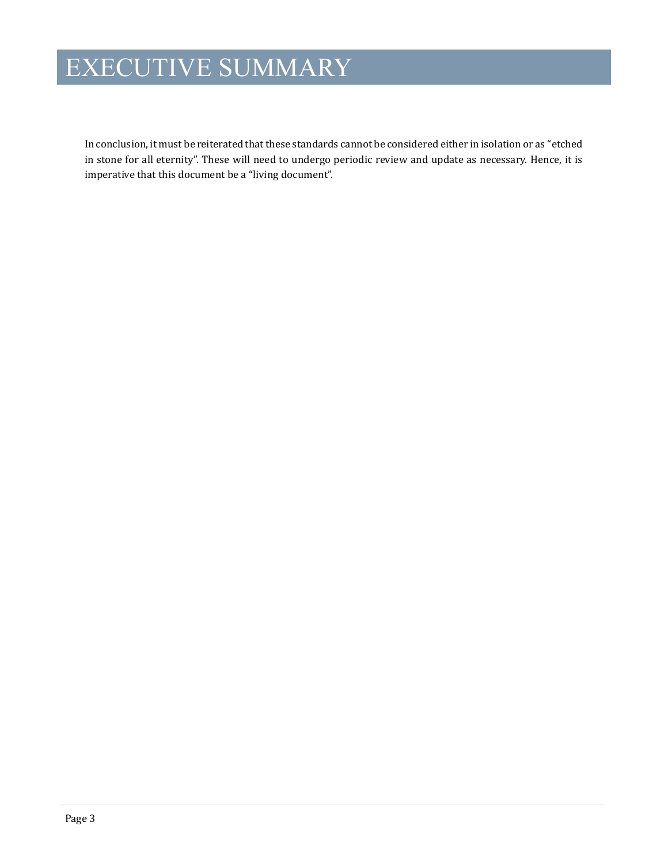# EXECUTIVE SUMMARY

In conclusion, it must be reiterated that these standards cannot be considered either in isolation or as "etched in stone for all eternity". These will need to undergo periodic review and update as necessary. Hence, it is imperative that this document be a "living document".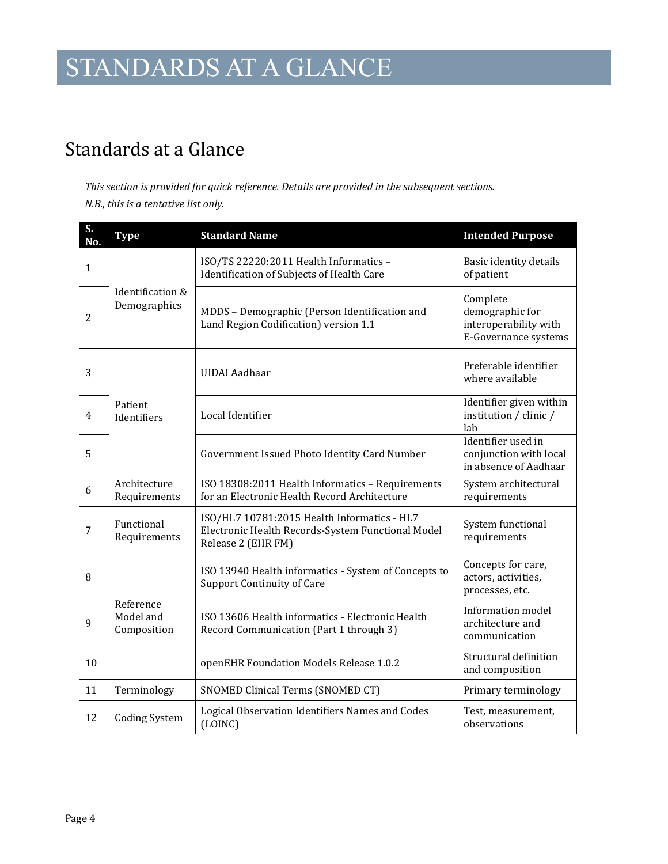# STANDARDS AT A GLANCE

### <span id="page-6-0"></span>Standards at a Glance

*This section is provided for quick reference. Details are provided in the subsequent sections. N.B., this is a tentative list only.*

| S.<br>No.      | <b>Type</b>                           | <b>Standard Name</b>                                                                                                   | <b>Intended Purpose</b>                                                      |
|----------------|---------------------------------------|------------------------------------------------------------------------------------------------------------------------|------------------------------------------------------------------------------|
| $\mathbf{1}$   | Identification &<br>Demographics      | ISO/TS 22220:2011 Health Informatics -<br>Identification of Subjects of Health Care                                    | Basic identity details<br>of patient                                         |
| $\overline{2}$ |                                       | MDDS - Demographic (Person Identification and<br>Land Region Codification) version 1.1                                 | Complete<br>demographic for<br>interoperability with<br>E-Governance systems |
| 3              | Patient<br>Identifiers                | <b>UIDAI</b> Aadhaar                                                                                                   | Preferable identifier<br>where available                                     |
| $\overline{4}$ |                                       | Local Identifier                                                                                                       | Identifier given within<br>institution / clinic /<br>lab                     |
| 5              |                                       | Government Issued Photo Identity Card Number                                                                           | Identifier used in<br>conjunction with local<br>in absence of Aadhaar        |
| 6              | Architecture<br>Requirements          | ISO 18308:2011 Health Informatics - Requirements<br>for an Electronic Health Record Architecture                       | System architectural<br>requirements                                         |
| $\overline{7}$ | Functional<br>Requirements            | ISO/HL7 10781:2015 Health Informatics - HL7<br>Electronic Health Records-System Functional Model<br>Release 2 (EHR FM) | System functional<br>requirements                                            |
| 8              | Reference<br>Model and<br>Composition | ISO 13940 Health informatics - System of Concepts to<br><b>Support Continuity of Care</b>                              | Concepts for care,<br>actors, activities,<br>processes, etc.                 |
| 9              |                                       | ISO 13606 Health informatics - Electronic Health<br>Record Communication (Part 1 through 3)                            | Information model<br>architecture and<br>communication                       |
| 10             |                                       | openEHR Foundation Models Release 1.0.2                                                                                | Structural definition<br>and composition                                     |
| 11             | Terminology                           | SNOMED Clinical Terms (SNOMED CT)                                                                                      | Primary terminology                                                          |
| 12             | <b>Coding System</b>                  | Logical Observation Identifiers Names and Codes<br>(LOINC)                                                             | Test, measurement,<br>observations                                           |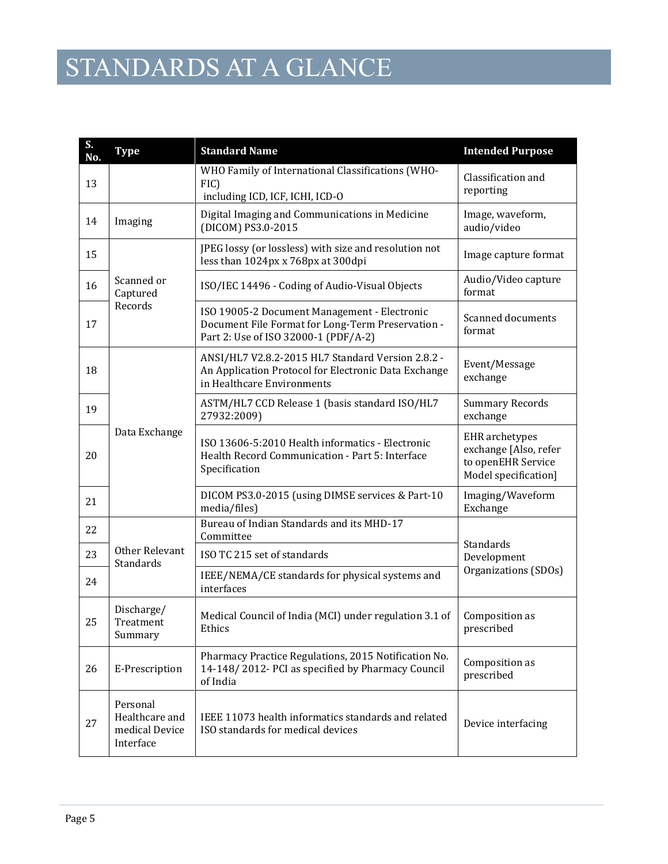# STANDARDS AT A GLANCE

| S.<br>No. | <b>Type</b>                                               | <b>Standard Name</b>                                                                                                                      | <b>Intended Purpose</b>                                                                      |
|-----------|-----------------------------------------------------------|-------------------------------------------------------------------------------------------------------------------------------------------|----------------------------------------------------------------------------------------------|
| 13        |                                                           | WHO Family of International Classifications (WHO-<br>FIC)<br>including ICD, ICF, ICHI, ICD-O                                              | Classification and<br>reporting                                                              |
| 14        | Imaging                                                   | Digital Imaging and Communications in Medicine<br>(DICOM) PS3.0-2015                                                                      | Image, waveform,<br>audio/video                                                              |
| 15        |                                                           | JPEG lossy (or lossless) with size and resolution not<br>less than 1024px x 768px at 300dpi                                               | Image capture format                                                                         |
| 16        | Scanned or<br>Captured                                    | ISO/IEC 14496 - Coding of Audio-Visual Objects                                                                                            | Audio/Video capture<br>format                                                                |
| 17        | Records                                                   | ISO 19005-2 Document Management - Electronic<br>Document File Format for Long-Term Preservation -<br>Part 2: Use of ISO 32000-1 (PDF/A-2) | Scanned documents<br>format                                                                  |
| 18        |                                                           | ANSI/HL7 V2.8.2-2015 HL7 Standard Version 2.8.2 -<br>An Application Protocol for Electronic Data Exchange<br>in Healthcare Environments   | Event/Message<br>exchange                                                                    |
| 19        |                                                           | ASTM/HL7 CCD Release 1 (basis standard ISO/HL7<br>27932:2009)                                                                             | <b>Summary Records</b><br>exchange                                                           |
| 20        | Data Exchange                                             | ISO 13606-5:2010 Health informatics - Electronic<br>Health Record Communication - Part 5: Interface<br>Specification                      | <b>EHR</b> archetypes<br>exchange [Also, refer<br>to openEHR Service<br>Model specification] |
| 21        |                                                           | DICOM PS3.0-2015 (using DIMSE services & Part-10<br>media/files)                                                                          | Imaging/Waveform<br>Exchange                                                                 |
| 22        |                                                           | Bureau of Indian Standards and its MHD-17<br>Committee                                                                                    |                                                                                              |
| 23        | Other Relevant<br>Standards                               | ISO TC 215 set of standards                                                                                                               | Standards<br>Development                                                                     |
| 24        |                                                           | IEEE/NEMA/CE standards for physical systems and<br>interfaces                                                                             | Organizations (SDOs)                                                                         |
| 25        | Discharge/<br>Treatment<br>Summary                        | Medical Council of India (MCI) under regulation 3.1 of<br>Ethics                                                                          | Composition as<br>prescribed                                                                 |
| 26        | E-Prescription                                            | Pharmacy Practice Regulations, 2015 Notification No.<br>14-148/2012- PCI as specified by Pharmacy Council<br>of India                     | Composition as<br>prescribed                                                                 |
| 27        | Personal<br>Healthcare and<br>medical Device<br>Interface | IEEE 11073 health informatics standards and related<br>ISO standards for medical devices                                                  | Device interfacing                                                                           |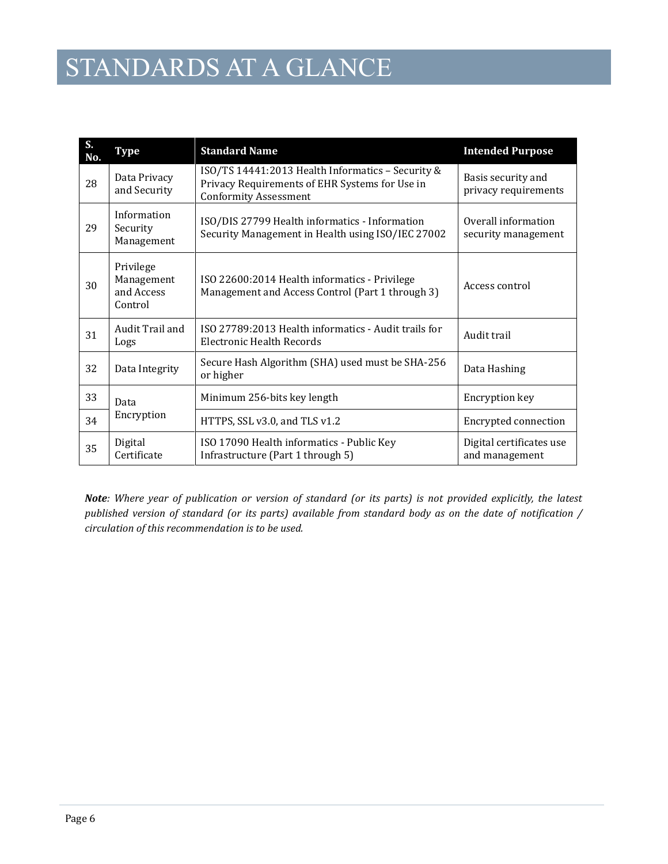# STANDARDS AT A GLANCE

| S.<br>No. | Type                                             | <b>Standard Name</b>                                                                                                                | <b>Intended Purpose</b>                    |
|-----------|--------------------------------------------------|-------------------------------------------------------------------------------------------------------------------------------------|--------------------------------------------|
| 28        | Data Privacy<br>and Security                     | ISO/TS 14441:2013 Health Informatics - Security &<br>Privacy Requirements of EHR Systems for Use in<br><b>Conformity Assessment</b> | Basis security and<br>privacy requirements |
| 29        | Information<br>Security<br>Management            | ISO/DIS 27799 Health informatics - Information<br>Security Management in Health using ISO/IEC 27002                                 | Overall information<br>security management |
| 30        | Privilege<br>Management<br>and Access<br>Control | ISO 22600:2014 Health informatics - Privilege<br>Management and Access Control (Part 1 through 3)                                   | Access control                             |
| 31        | Audit Trail and<br>Logs                          | ISO 27789:2013 Health informatics - Audit trails for<br>Electronic Health Records                                                   | Audit trail                                |
| 32        | Data Integrity                                   | Secure Hash Algorithm (SHA) used must be SHA-256<br>or higher                                                                       | Data Hashing                               |
| 33        | Data<br>Encryption                               | Minimum 256-bits key length                                                                                                         | Encryption key                             |
| 34        |                                                  | HTTPS, SSL v3.0, and TLS v1.2                                                                                                       | Encrypted connection                       |
| 35        | Digital<br>Certificate                           | ISO 17090 Health informatics - Public Key<br>Infrastructure (Part 1 through 5)                                                      | Digital certificates use<br>and management |

*Note: Where year of publication or version of standard (or its parts) is not provided explicitly, the latest published version of standard (or its parts) available from standard body as on the date of notification / circulation of this recommendation is to be used.*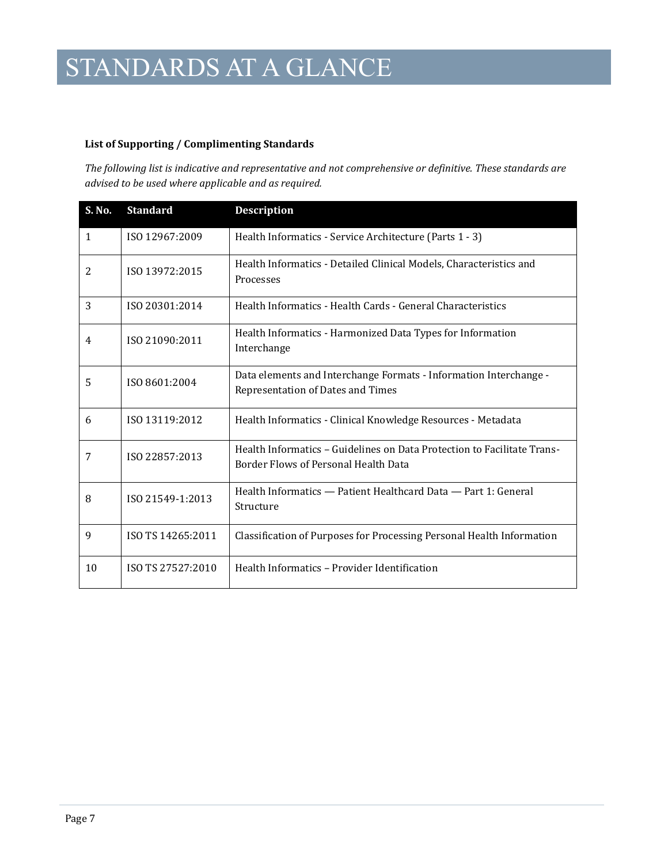#### **List of Supporting / Complimenting Standards**

*The following list is indicative and representative and not comprehensive or definitive. These standards are advised to be used where applicable and as required.*

| S. No. | <b>Standard</b>   | <b>Description</b>                                                                                              |
|--------|-------------------|-----------------------------------------------------------------------------------------------------------------|
| 1      | ISO 12967:2009    | Health Informatics - Service Architecture (Parts 1 - 3)                                                         |
| 2      | ISO 13972:2015    | Health Informatics - Detailed Clinical Models, Characteristics and<br>Processes                                 |
| 3      | ISO 20301:2014    | Health Informatics - Health Cards - General Characteristics                                                     |
| 4      | ISO 21090:2011    | Health Informatics - Harmonized Data Types for Information<br>Interchange                                       |
| 5      | ISO 8601:2004     | Data elements and Interchange Formats - Information Interchange -<br>Representation of Dates and Times          |
| 6      | ISO 13119:2012    | Health Informatics - Clinical Knowledge Resources - Metadata                                                    |
| 7      | ISO 22857:2013    | Health Informatics – Guidelines on Data Protection to Facilitate Trans-<br>Border Flows of Personal Health Data |
| 8      | ISO 21549-1:2013  | Health Informatics - Patient Healthcard Data - Part 1: General<br>Structure                                     |
| 9      | ISO TS 14265:2011 | Classification of Purposes for Processing Personal Health Information                                           |
| 10     | ISO TS 27527:2010 | Health Informatics - Provider Identification                                                                    |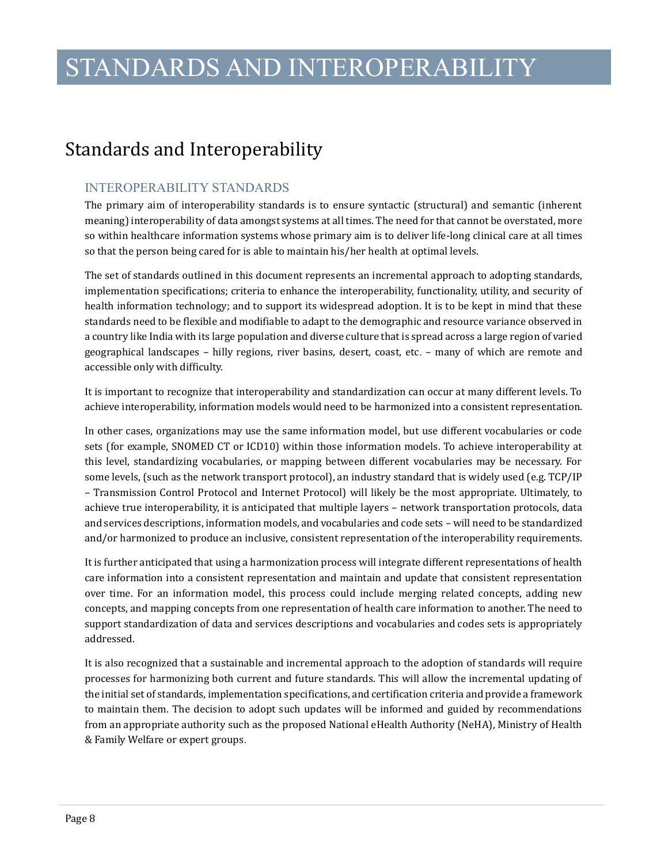### STANDARDS AND INTEROPERABILITY

### <span id="page-10-0"></span>Standards and Interoperability

### INTEROPERABILITY STANDARDS

The primary aim of interoperability standards is to ensure syntactic (structural) and semantic (inherent meaning) interoperability of data amongst systems at all times. The need for that cannot be overstated, more so within healthcare information systems whose primary aim is to deliver life-long clinical care at all times so that the person being cared for is able to maintain his/her health at optimal levels.

The set of standards outlined in this document represents an incremental approach to adopting standards, implementation specifications; criteria to enhance the interoperability, functionality, utility, and security of health information technology; and to support its widespread adoption. It is to be kept in mind that these standards need to be flexible and modifiable to adapt to the demographic and resource variance observed in a country like India with its large population and diverse culture that is spread across a large region of varied geographical landscapes – hilly regions, river basins, desert, coast, etc. – many of which are remote and accessible only with difficulty.

It is important to recognize that interoperability and standardization can occur at many different levels. To achieve interoperability, information models would need to be harmonized into a consistent representation.

In other cases, organizations may use the same information model, but use different vocabularies or code sets (for example, SNOMED CT or ICD10) within those information models. To achieve interoperability at this level, standardizing vocabularies, or mapping between different vocabularies may be necessary. For some levels, (such as the network transport protocol), an industry standard that is widely used (e.g. TCP/IP – Transmission Control Protocol and Internet Protocol) will likely be the most appropriate. Ultimately, to achieve true interoperability, it is anticipated that multiple layers – network transportation protocols, data and services descriptions, information models, and vocabularies and code sets – will need to be standardized and/or harmonized to produce an inclusive, consistent representation of the interoperability requirements.

It is further anticipated that using a harmonization process will integrate different representations of health care information into a consistent representation and maintain and update that consistent representation over time. For an information model, this process could include merging related concepts, adding new concepts, and mapping concepts from one representation of health care information to another. The need to support standardization of data and services descriptions and vocabularies and codes sets is appropriately addressed.

It is also recognized that a sustainable and incremental approach to the adoption of standards will require processes for harmonizing both current and future standards. This will allow the incremental updating of the initial set of standards, implementation specifications, and certification criteria and provide a framework to maintain them. The decision to adopt such updates will be informed and guided by recommendations from an appropriate authority such as the proposed National eHealth Authority (NeHA), Ministry of Health & Family Welfare or expert groups.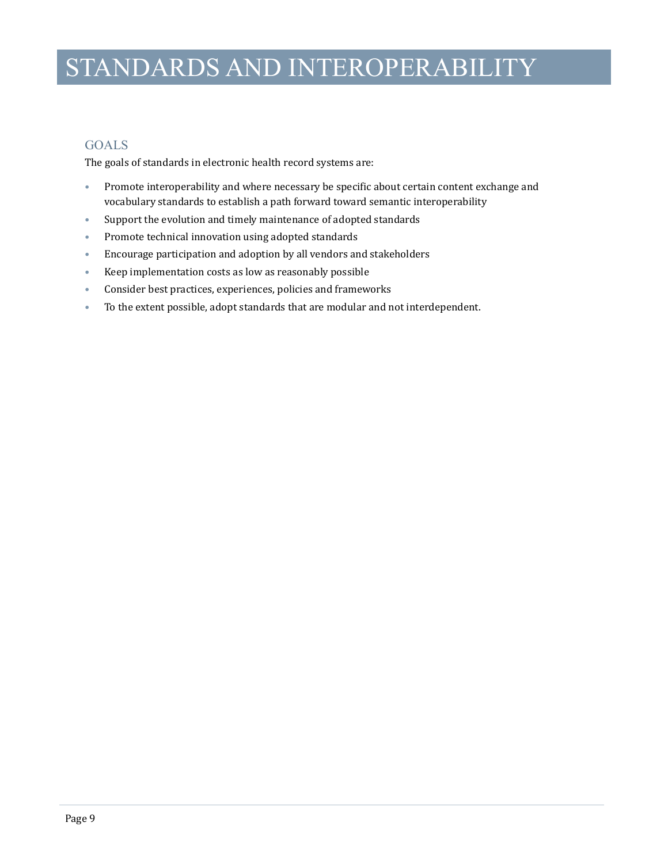# STANDARDS AND INTEROPERABILITY

### GOALS

The goals of standards in electronic health record systems are:

- Promote interoperability and where necessary be specific about certain content exchange and vocabulary standards to establish a path forward toward semantic interoperability
- Support the evolution and timely maintenance of adopted standards
- Promote technical innovation using adopted standards
- Encourage participation and adoption by all vendors and stakeholders
- Keep implementation costs as low as reasonably possible
- Consider best practices, experiences, policies and frameworks
- To the extent possible, adopt standards that are modular and not interdependent.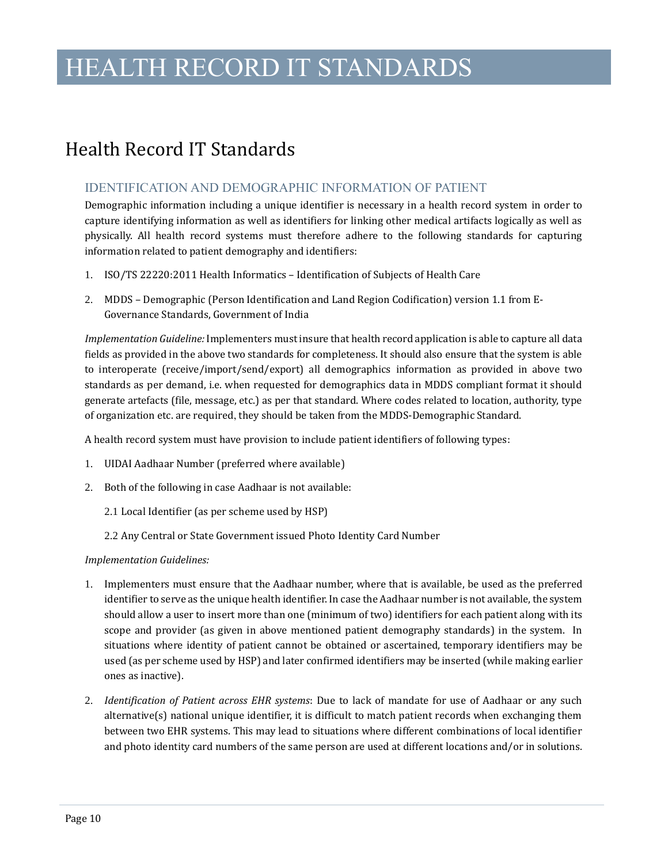### HEALTH RECORD IT STANDARDS

### <span id="page-12-0"></span>Health Record IT Standards

### IDENTIFICATION AND DEMOGRAPHIC INFORMATION OF PATIENT

Demographic information including a unique identifier is necessary in a health record system in order to capture identifying information as well as identifiers for linking other medical artifacts logically as well as physically. All health record systems must therefore adhere to the following standards for capturing information related to patient demography and identifiers:

- 1. ISO/TS 22220:2011 Health Informatics Identification of Subjects of Health Care
- 2. MDDS Demographic (Person Identification and Land Region Codification) version 1.1 from E-Governance Standards, Government of India

*Implementation Guideline:* Implementers must insure that health record application is able to capture all data fields as provided in the above two standards for completeness. It should also ensure that the system is able to interoperate (receive/import/send/export) all demographics information as provided in above two standards as per demand, i.e. when requested for demographics data in MDDS compliant format it should generate artefacts (file, message, etc.) as per that standard. Where codes related to location, authority, type of organization etc. are required, they should be taken from the MDDS-Demographic Standard.

A health record system must have provision to include patient identifiers of following types:

- 1. UIDAI Aadhaar Number (preferred where available)
- 2. Both of the following in case Aadhaar is not available:
	- 2.1 Local Identifier (as per scheme used by HSP)
	- 2.2 Any Central or State Government issued Photo Identity Card Number

#### *Implementation Guidelines:*

- 1. Implementers must ensure that the Aadhaar number, where that is available, be used as the preferred identifier to serve as the unique health identifier. In case the Aadhaar number is not available, the system should allow a user to insert more than one (minimum of two) identifiers for each patient along with its scope and provider (as given in above mentioned patient demography standards) in the system. In situations where identity of patient cannot be obtained or ascertained, temporary identifiers may be used (as per scheme used by HSP) and later confirmed identifiers may be inserted (while making earlier ones as inactive).
- 2. *Identification of Patient across EHR systems*: Due to lack of mandate for use of Aadhaar or any such alternative(s) national unique identifier, it is difficult to match patient records when exchanging them between two EHR systems. This may lead to situations where different combinations of local identifier and photo identity card numbers of the same person are used at different locations and/or in solutions.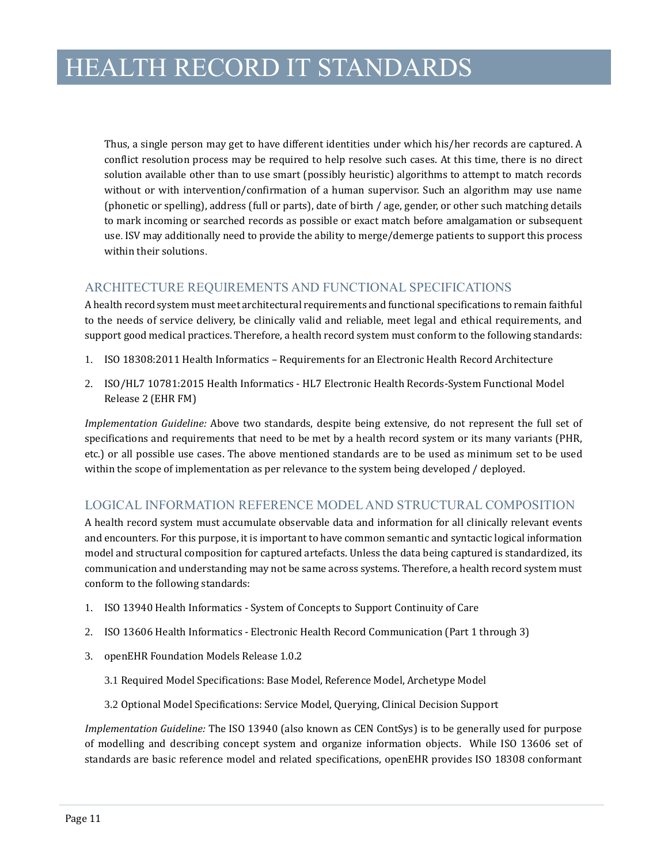Thus, a single person may get to have different identities under which his/her records are captured. A conflict resolution process may be required to help resolve such cases. At this time, there is no direct solution available other than to use smart (possibly heuristic) algorithms to attempt to match records without or with intervention/confirmation of a human supervisor. Such an algorithm may use name (phonetic or spelling), address (full or parts), date of birth / age, gender, or other such matching details to mark incoming or searched records as possible or exact match before amalgamation or subsequent use. ISV may additionally need to provide the ability to merge/demerge patients to support this process within their solutions.

### ARCHITECTURE REQUIREMENTS AND FUNCTIONAL SPECIFICATIONS

A health record system must meet architectural requirements and functional specifications to remain faithful to the needs of service delivery, be clinically valid and reliable, meet legal and ethical requirements, and support good medical practices. Therefore, a health record system must conform to the following standards:

- 1. ISO 18308:2011 Health Informatics Requirements for an Electronic Health Record Architecture
- 2. ISO/HL7 10781:2015 Health Informatics HL7 Electronic Health Records-System Functional Model Release 2 (EHR FM)

*Implementation Guideline:* Above two standards, despite being extensive, do not represent the full set of specifications and requirements that need to be met by a health record system or its many variants (PHR, etc.) or all possible use cases. The above mentioned standards are to be used as minimum set to be used within the scope of implementation as per relevance to the system being developed / deployed.

### LOGICAL INFORMATION REFERENCE MODEL AND STRUCTURAL COMPOSITION

A health record system must accumulate observable data and information for all clinically relevant events and encounters. For this purpose, it is important to have common semantic and syntactic logical information model and structural composition for captured artefacts. Unless the data being captured is standardized, its communication and understanding may not be same across systems. Therefore, a health record system must conform to the following standards:

- 1. ISO 13940 Health Informatics System of Concepts to Support Continuity of Care
- 2. ISO 13606 Health Informatics Electronic Health Record Communication (Part 1 through 3)
- 3. openEHR Foundation Models Release 1.0.2
	- 3.1 Required Model Specifications: Base Model, Reference Model, Archetype Model
	- 3.2 Optional Model Specifications: Service Model, Querying, Clinical Decision Support

*Implementation Guideline:* The ISO 13940 (also known as CEN ContSys) is to be generally used for purpose of modelling and describing concept system and organize information objects. While ISO 13606 set of standards are basic reference model and related specifications, openEHR provides ISO 18308 conformant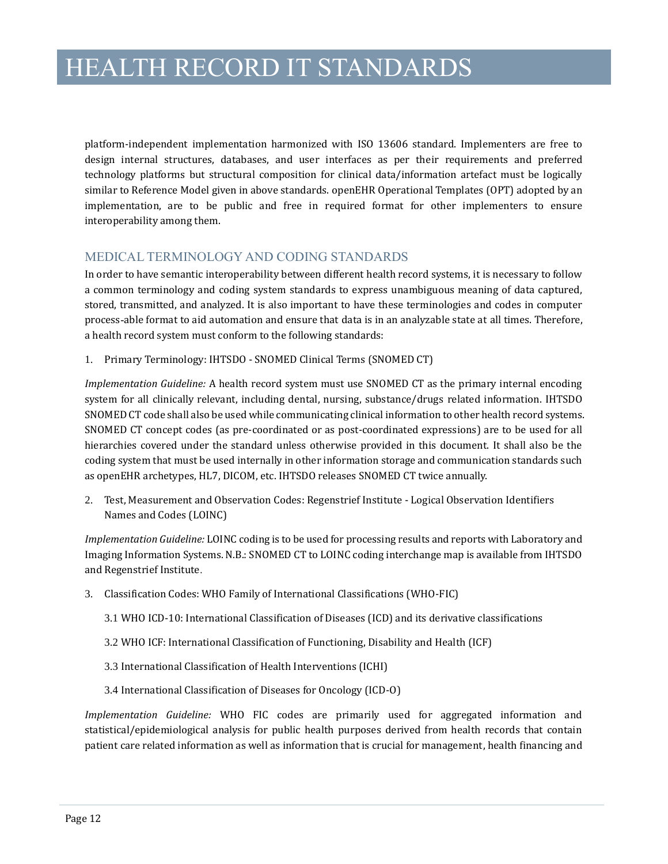platform-independent implementation harmonized with ISO 13606 standard. Implementers are free to design internal structures, databases, and user interfaces as per their requirements and preferred technology platforms but structural composition for clinical data/information artefact must be logically similar to Reference Model given in above standards. openEHR Operational Templates (OPT) adopted by an implementation, are to be public and free in required format for other implementers to ensure interoperability among them.

#### MEDICAL TERMINOLOGY AND CODING STANDARDS

In order to have semantic interoperability between different health record systems, it is necessary to follow a common terminology and coding system standards to express unambiguous meaning of data captured, stored, transmitted, and analyzed. It is also important to have these terminologies and codes in computer process-able format to aid automation and ensure that data is in an analyzable state at all times. Therefore, a health record system must conform to the following standards:

1. Primary Terminology: IHTSDO - SNOMED Clinical Terms (SNOMED CT)

*Implementation Guideline:* A health record system must use SNOMED CT as the primary internal encoding system for all clinically relevant, including dental, nursing, substance/drugs related information. IHTSDO SNOMED CT code shall also be used while communicating clinical information to other health record systems. SNOMED CT concept codes (as pre-coordinated or as post-coordinated expressions) are to be used for all hierarchies covered under the standard unless otherwise provided in this document. It shall also be the coding system that must be used internally in other information storage and communication standards such as openEHR archetypes, HL7, DICOM, etc. IHTSDO releases SNOMED CT twice annually.

2. Test, Measurement and Observation Codes: Regenstrief Institute - Logical Observation Identifiers Names and Codes (LOINC)

*Implementation Guideline:* LOINC coding is to be used for processing results and reports with Laboratory and Imaging Information Systems. N.B.: SNOMED CT to LOINC coding interchange map is available from IHTSDO and Regenstrief Institute.

- 3. Classification Codes: WHO Family of International Classifications (WHO-FIC)
	- 3.1 WHO ICD-10: International Classification of Diseases (ICD) and its derivative classifications
	- 3.2 WHO ICF: International Classification of Functioning, Disability and Health (ICF)
	- 3.3 International Classification of Health Interventions (ICHI)
	- 3.4 International Classification of Diseases for Oncology (ICD-O)

*Implementation Guideline:* WHO FIC codes are primarily used for aggregated information and statistical/epidemiological analysis for public health purposes derived from health records that contain patient care related information as well as information that is crucial for management, health financing and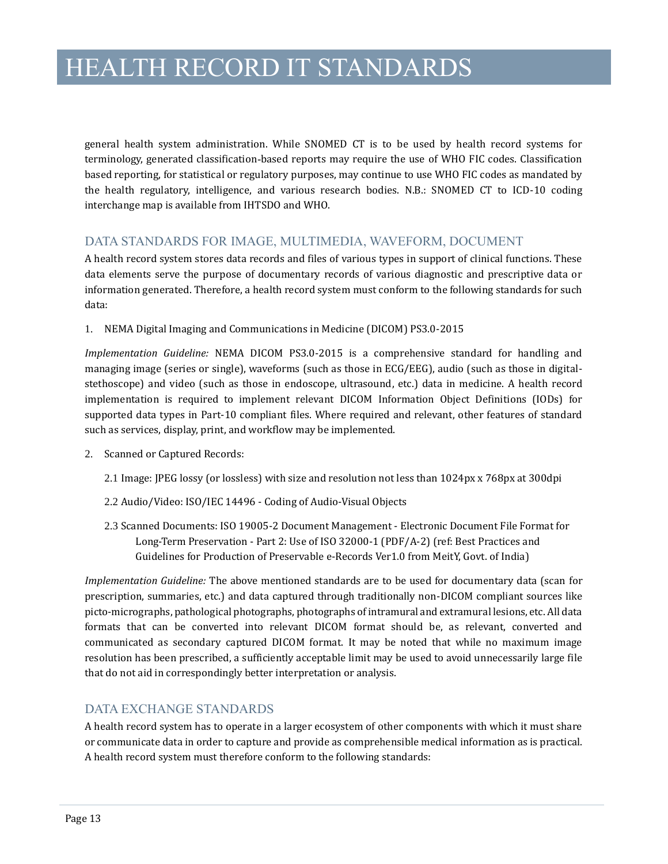general health system administration. While SNOMED CT is to be used by health record systems for terminology, generated classification-based reports may require the use of WHO FIC codes. Classification based reporting, for statistical or regulatory purposes, may continue to use WHO FIC codes as mandated by the health regulatory, intelligence, and various research bodies. N.B.: SNOMED CT to ICD-10 coding interchange map is available from IHTSDO and WHO.

### DATA STANDARDS FOR IMAGE, MULTIMEDIA, WAVEFORM, DOCUMENT

A health record system stores data records and files of various types in support of clinical functions. These data elements serve the purpose of documentary records of various diagnostic and prescriptive data or information generated. Therefore, a health record system must conform to the following standards for such data:

1. NEMA Digital Imaging and Communications in Medicine (DICOM) PS3.0-2015

*Implementation Guideline:* NEMA DICOM PS3.0-2015 is a comprehensive standard for handling and managing image (series or single), waveforms (such as those in ECG/EEG), audio (such as those in digitalstethoscope) and video (such as those in endoscope, ultrasound, etc.) data in medicine. A health record implementation is required to implement relevant DICOM Information Object Definitions (IODs) for supported data types in Part-10 compliant files. Where required and relevant, other features of standard such as services, display, print, and workflow may be implemented.

- 2. Scanned or Captured Records:
	- 2.1 Image: JPEG lossy (or lossless) with size and resolution not less than 1024px x 768px at 300dpi
	- 2.2 Audio/Video: ISO/IEC 14496 Coding of Audio-Visual Objects
	- 2.3 Scanned Documents: ISO 19005-2 Document Management Electronic Document File Format for Long-Term Preservation - Part 2: Use of ISO 32000-1 (PDF/A-2) (ref: Best Practices and Guidelines for Production of Preservable e-Records Ver1.0 from MeitY, Govt. of India)

*Implementation Guideline:* The above mentioned standards are to be used for documentary data (scan for prescription, summaries, etc.) and data captured through traditionally non-DICOM compliant sources like picto-micrographs, pathological photographs, photographs of intramural and extramural lesions, etc. All data formats that can be converted into relevant DICOM format should be, as relevant, converted and communicated as secondary captured DICOM format. It may be noted that while no maximum image resolution has been prescribed, a sufficiently acceptable limit may be used to avoid unnecessarily large file that do not aid in correspondingly better interpretation or analysis.

### DATA EXCHANGE STANDARDS

A health record system has to operate in a larger ecosystem of other components with which it must share or communicate data in order to capture and provide as comprehensible medical information as is practical. A health record system must therefore conform to the following standards: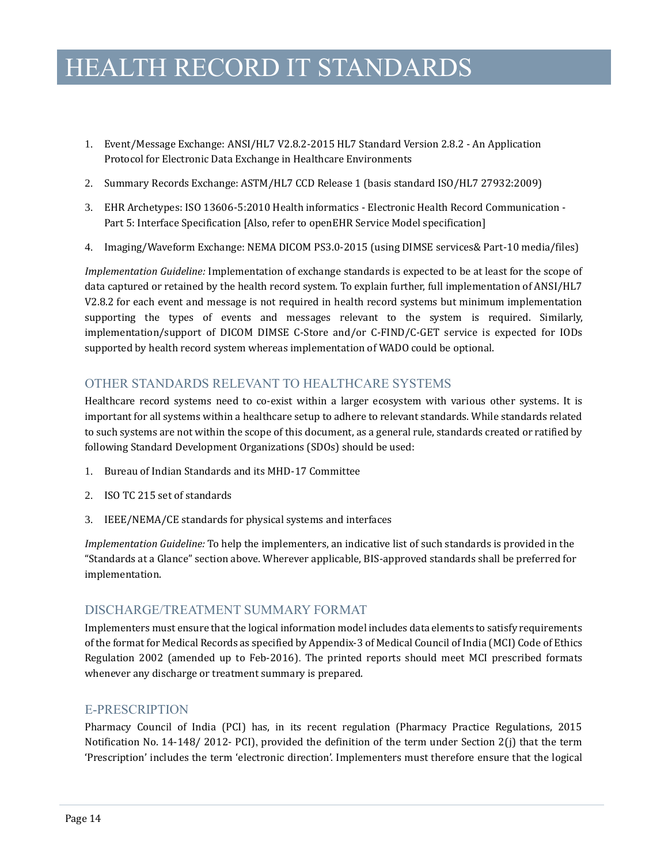### HEALTH RECORD IT STANDARDS

- 1. Event/Message Exchange: ANSI/HL7 V2.8.2-2015 HL7 Standard Version 2.8.2 An Application Protocol for Electronic Data Exchange in Healthcare Environments
- 2. Summary Records Exchange: ASTM/HL7 CCD Release 1 (basis standard ISO/HL7 27932:2009)
- 3. EHR Archetypes: ISO 13606-5:2010 Health informatics Electronic Health Record Communication Part 5: Interface Specification [Also, refer to openEHR Service Model specification]
- 4. Imaging/Waveform Exchange: NEMA DICOM PS3.0-2015 (using DIMSE services& Part-10 media/files)

*Implementation Guideline:* Implementation of exchange standards is expected to be at least for the scope of data captured or retained by the health record system. To explain further, full implementation of ANSI/HL7 V2.8.2 for each event and message is not required in health record systems but minimum implementation supporting the types of events and messages relevant to the system is required. Similarly, implementation/support of DICOM DIMSE C-Store and/or C-FIND/C-GET service is expected for IODs supported by health record system whereas implementation of WADO could be optional.

### OTHER STANDARDS RELEVANT TO HEALTHCARE SYSTEMS

Healthcare record systems need to co-exist within a larger ecosystem with various other systems. It is important for all systems within a healthcare setup to adhere to relevant standards. While standards related to such systems are not within the scope of this document, as a general rule, standards created or ratified by following Standard Development Organizations (SDOs) should be used:

- 1. Bureau of Indian Standards and its MHD-17 Committee
- 2. ISO TC 215 set of standards
- 3. IEEE/NEMA/CE standards for physical systems and interfaces

*Implementation Guideline:* To help the implementers, an indicative list of such standards is provided in the "Standards at a Glance" section above. Wherever applicable, BIS-approved standards shall be preferred for implementation.

#### DISCHARGE/TREATMENT SUMMARY FORMAT

Implementers must ensure that the logical information model includes data elements to satisfy requirements of the format for Medical Records as specified by Appendix-3 of Medical Council of India (MCI) Code of Ethics Regulation 2002 (amended up to Feb-2016). The printed reports should meet MCI prescribed formats whenever any discharge or treatment summary is prepared.

### E-PRESCRIPTION

Pharmacy Council of India (PCI) has, in its recent regulation (Pharmacy Practice Regulations, 2015 Notification No. 14-148/ 2012- PCI), provided the definition of the term under Section 2(j) that the term 'Prescription' includes the term 'electronic direction'. Implementers must therefore ensure that the logical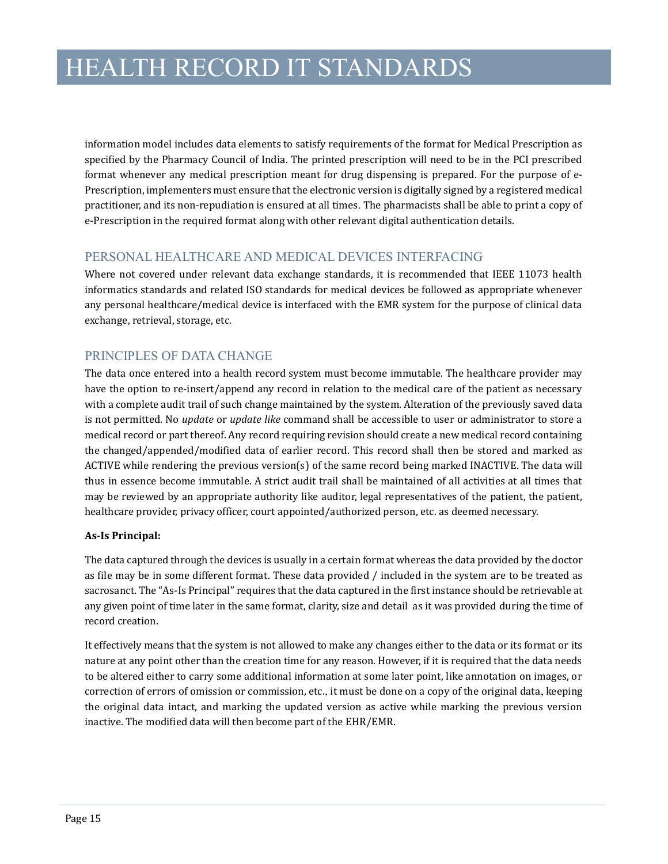information model includes data elements to satisfy requirements of the format for Medical Prescription as specified by the Pharmacy Council of India. The printed prescription will need to be in the PCI prescribed format whenever any medical prescription meant for drug dispensing is prepared. For the purpose of e-Prescription, implementers must ensure that the electronic version is digitally signed by a registered medical practitioner, and its non-repudiation is ensured at all times. The pharmacists shall be able to print a copy of e-Prescription in the required format along with other relevant digital authentication details.

### PERSONAL HEALTHCARE AND MEDICAL DEVICES INTERFACING

Where not covered under relevant data exchange standards, it is recommended that IEEE 11073 health informatics standards and related ISO standards for medical devices be followed as appropriate whenever any personal healthcare/medical device is interfaced with the EMR system for the purpose of clinical data exchange, retrieval, storage, etc.

### PRINCIPLES OF DATA CHANGE

The data once entered into a health record system must become immutable. The healthcare provider may have the option to re-insert/append any record in relation to the medical care of the patient as necessary with a complete audit trail of such change maintained by the system. Alteration of the previously saved data is not permitted. No *update* or *update like* command shall be accessible to user or administrator to store a medical record or part thereof. Any record requiring revision should create a new medical record containing the changed/appended/modified data of earlier record. This record shall then be stored and marked as ACTIVE while rendering the previous version(s) of the same record being marked INACTIVE. The data will thus in essence become immutable. A strict audit trail shall be maintained of all activities at all times that may be reviewed by an appropriate authority like auditor, legal representatives of the patient, the patient, healthcare provider, privacy officer, court appointed/authorized person, etc. as deemed necessary.

#### **As-Is Principal:**

The data captured through the devices is usually in a certain format whereas the data provided by the doctor as file may be in some different format. These data provided / included in the system are to be treated as sacrosanct. The "As-Is Principal" requires that the data captured in the first instance should be retrievable at any given point of time later in the same format, clarity, size and detail as it was provided during the time of record creation.

It effectively means that the system is not allowed to make any changes either to the data or its format or its nature at any point other than the creation time for any reason. However, if it is required that the data needs to be altered either to carry some additional information at some later point, like annotation on images, or correction of errors of omission or commission, etc., it must be done on a copy of the original data, keeping the original data intact, and marking the updated version as active while marking the previous version inactive. The modified data will then become part of the EHR/EMR.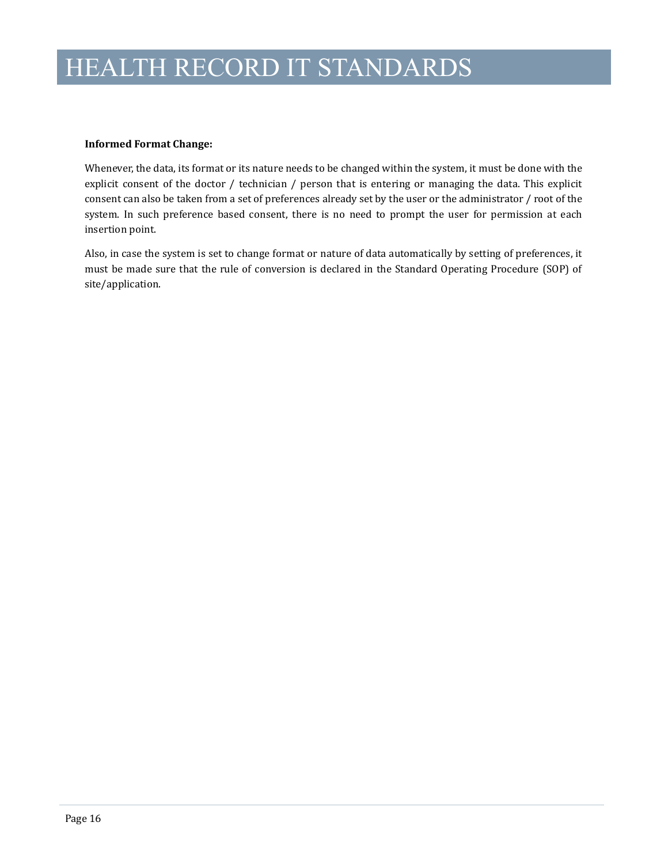#### **Informed Format Change:**

Whenever, the data, its format or its nature needs to be changed within the system, it must be done with the explicit consent of the doctor / technician / person that is entering or managing the data. This explicit consent can also be taken from a set of preferences already set by the user or the administrator / root of the system. In such preference based consent, there is no need to prompt the user for permission at each insertion point.

Also, in case the system is set to change format or nature of data automatically by setting of preferences, it must be made sure that the rule of conversion is declared in the Standard Operating Procedure (SOP) of site/application.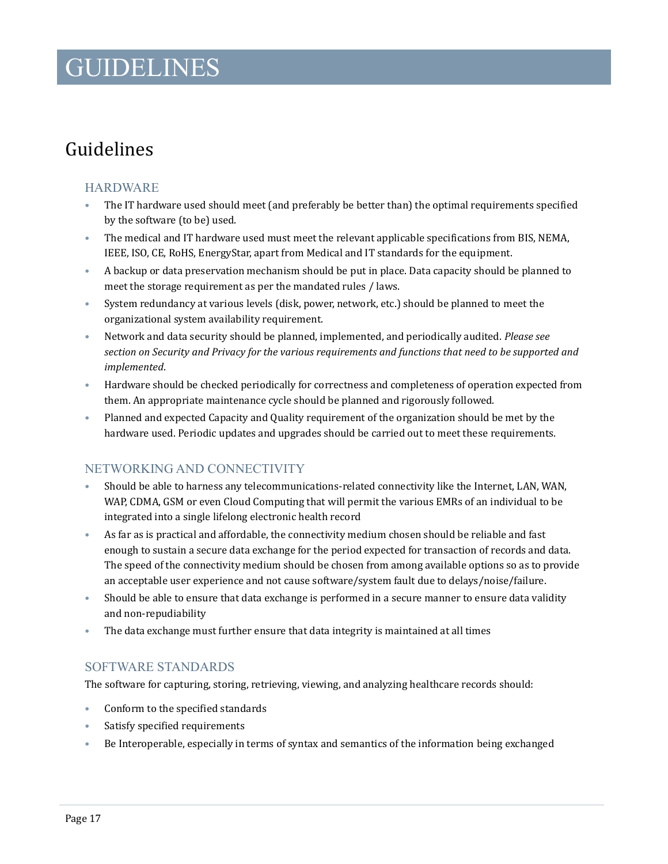### GUIDELINES

### <span id="page-19-0"></span>Guidelines

### HARDWARE

- The IT hardware used should meet (and preferably be better than) the optimal requirements specified by the software (to be) used.
- The medical and IT hardware used must meet the relevant applicable specifications from BIS, NEMA, IEEE, ISO, CE, RoHS, EnergyStar, apart from Medical and IT standards for the equipment.
- A backup or data preservation mechanism should be put in place. Data capacity should be planned to meet the storage requirement as per the mandated rules / laws.
- System redundancy at various levels (disk, power, network, etc.) should be planned to meet the organizational system availability requirement.
- Network and data security should be planned, implemented, and periodically audited. *Please see section on Security and Privacy for the various requirements and functions that need to be supported and implemented*.
- Hardware should be checked periodically for correctness and completeness of operation expected from them. An appropriate maintenance cycle should be planned and rigorously followed.
- Planned and expected Capacity and Quality requirement of the organization should be met by the hardware used. Periodic updates and upgrades should be carried out to meet these requirements.

### NETWORKING AND CONNECTIVITY

- Should be able to harness any telecommunications-related connectivity like the Internet, LAN, WAN, WAP, CDMA, GSM or even Cloud Computing that will permit the various EMRs of an individual to be integrated into a single lifelong electronic health record
- As far as is practical and affordable, the connectivity medium chosen should be reliable and fast enough to sustain a secure data exchange for the period expected for transaction of records and data. The speed of the connectivity medium should be chosen from among available options so as to provide an acceptable user experience and not cause software/system fault due to delays/noise/failure.
- Should be able to ensure that data exchange is performed in a secure manner to ensure data validity and non-repudiability
- The data exchange must further ensure that data integrity is maintained at all times

### SOFTWARE STANDARDS

The software for capturing, storing, retrieving, viewing, and analyzing healthcare records should:

- Conform to the specified standards
- Satisfy specified requirements
- Be Interoperable, especially in terms of syntax and semantics of the information being exchanged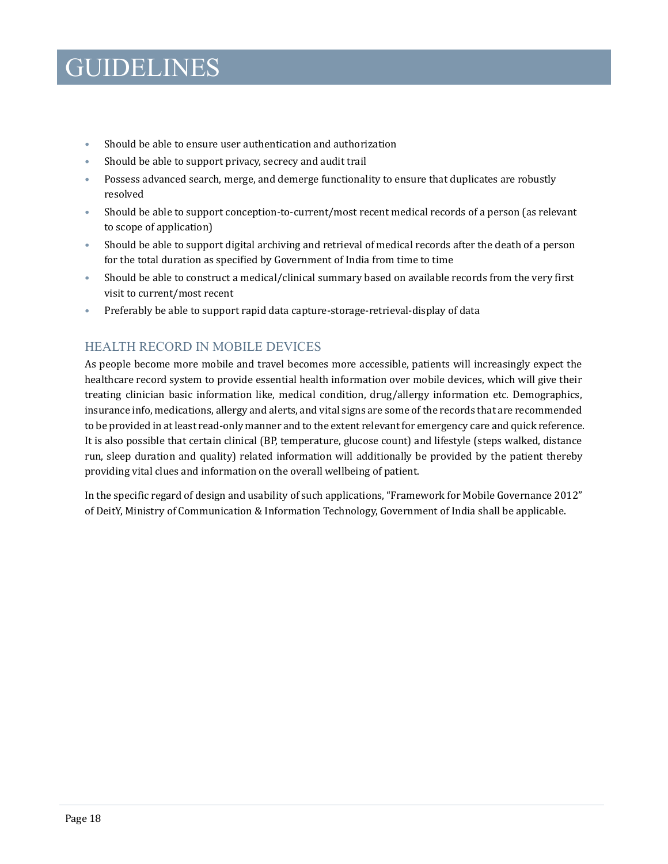### GUIDELINES

- Should be able to ensure user authentication and authorization
- Should be able to support privacy, secrecy and audit trail
- Possess advanced search, merge, and demerge functionality to ensure that duplicates are robustly resolved
- Should be able to support conception-to-current/most recent medical records of a person (as relevant to scope of application)
- Should be able to support digital archiving and retrieval of medical records after the death of a person for the total duration as specified by Government of India from time to time
- Should be able to construct a medical/clinical summary based on available records from the very first visit to current/most recent
- Preferably be able to support rapid data capture-storage-retrieval-display of data

### HEALTH RECORD IN MOBILE DEVICES

As people become more mobile and travel becomes more accessible, patients will increasingly expect the healthcare record system to provide essential health information over mobile devices, which will give their treating clinician basic information like, medical condition, drug/allergy information etc. Demographics, insurance info, medications, allergy and alerts, and vital signs are some of the records that are recommended to be provided in at least read-only manner and to the extent relevant for emergency care and quick reference. It is also possible that certain clinical (BP, temperature, glucose count) and lifestyle (steps walked, distance run, sleep duration and quality) related information will additionally be provided by the patient thereby providing vital clues and information on the overall wellbeing of patient.

In the specific regard of design and usability of such applications, "Framework for Mobile Governance 2012" of DeitY, Ministry of Communication & Information Technology, Government of India shall be applicable.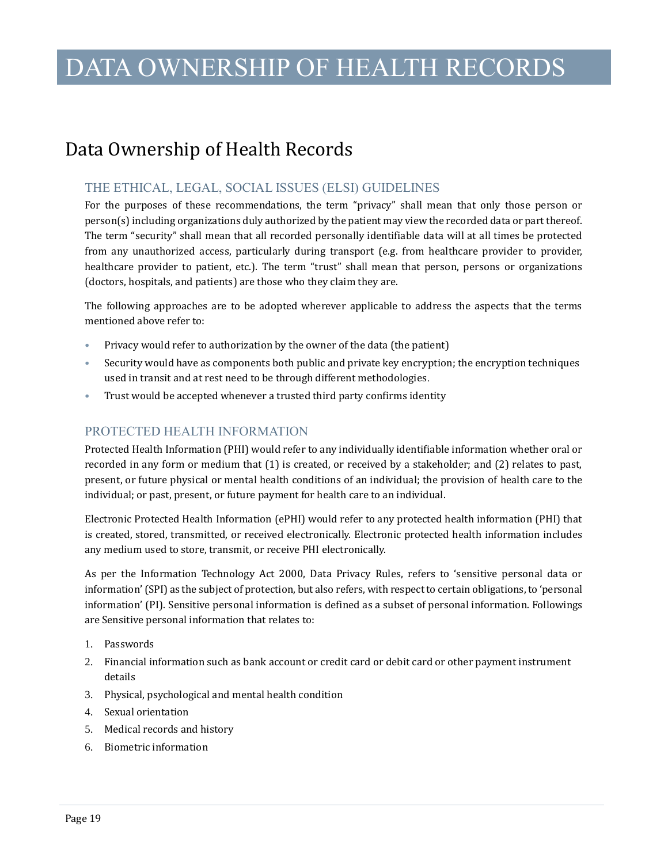### <span id="page-21-0"></span>Data Ownership of Health Records

#### THE ETHICAL, LEGAL, SOCIAL ISSUES (ELSI) GUIDELINES

For the purposes of these recommendations, the term "privacy" shall mean that only those person or person(s) including organizations duly authorized by the patient may view the recorded data or part thereof. The term "security" shall mean that all recorded personally identifiable data will at all times be protected from any unauthorized access, particularly during transport (e.g. from healthcare provider to provider, healthcare provider to patient, etc.). The term "trust" shall mean that person, persons or organizations (doctors, hospitals, and patients) are those who they claim they are.

The following approaches are to be adopted wherever applicable to address the aspects that the terms mentioned above refer to:

- Privacy would refer to authorization by the owner of the data (the patient)
- Security would have as components both public and private key encryption; the encryption techniques used in transit and at rest need to be through different methodologies.
- Trust would be accepted whenever a trusted third party confirms identity

### PROTECTED HEALTH INFORMATION

Protected Health Information (PHI) would refer to any individually identifiable information whether oral or recorded in any form or medium that (1) is created, or received by a stakeholder; and (2) relates to past, present, or future physical or mental health conditions of an individual; the provision of health care to the individual; or past, present, or future payment for health care to an individual.

Electronic Protected Health Information (ePHI) would refer to any protected health information (PHI) that is created, stored, transmitted, or received electronically. Electronic protected health information includes any medium used to store, transmit, or receive PHI electronically.

As per the Information Technology Act 2000, Data Privacy Rules, refers to 'sensitive personal data or information' (SPI) as the subject of protection, but also refers, with respect to certain obligations, to 'personal information' (PI). Sensitive personal information is defined as a subset of personal information. Followings are Sensitive personal information that relates to:

- 1. Passwords
- 2. Financial information such as bank account or credit card or debit card or other payment instrument details
- 3. Physical, psychological and mental health condition
- 4. Sexual orientation
- 5. Medical records and history
- 6. Biometric information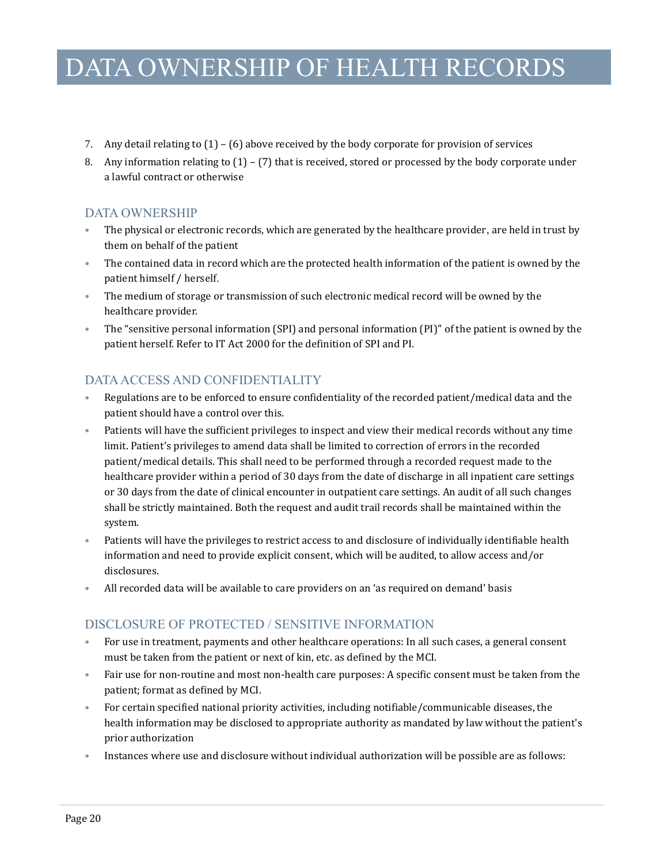- 7. Any detail relating to (1) (6) above received by the body corporate for provision of services
- 8. Any information relating to  $(1) (7)$  that is received, stored or processed by the body corporate under a lawful contract or otherwise

### DATA OWNERSHIP

- The physical or electronic records, which are generated by the healthcare provider, are held in trust by them on behalf of the patient
- The contained data in record which are the protected health information of the patient is owned by the patient himself / herself.
- The medium of storage or transmission of such electronic medical record will be owned by the healthcare provider.
- The "sensitive personal information (SPI) and personal information (PI)" of the patient is owned by the patient herself. Refer to IT Act 2000 for the definition of SPI and PI.

### DATA ACCESS AND CONFIDENTIALITY

- Regulations are to be enforced to ensure confidentiality of the recorded patient/medical data and the patient should have a control over this.
- Patients will have the sufficient privileges to inspect and view their medical records without any time limit. Patient's privileges to amend data shall be limited to correction of errors in the recorded patient/medical details. This shall need to be performed through a recorded request made to the healthcare provider within a period of 30 days from the date of discharge in all inpatient care settings or 30 days from the date of clinical encounter in outpatient care settings. An audit of all such changes shall be strictly maintained. Both the request and audit trail records shall be maintained within the system.
- Patients will have the privileges to restrict access to and disclosure of individually identifiable health information and need to provide explicit consent, which will be audited, to allow access and/or disclosures.
- All recorded data will be available to care providers on an 'as required on demand' basis

### DISCLOSURE OF PROTECTED / SENSITIVE INFORMATION

- For use in treatment, payments and other healthcare operations: In all such cases, a general consent must be taken from the patient or next of kin, etc. as defined by the MCI.
- Fair use for non-routine and most non-health care purposes: A specific consent must be taken from the patient; format as defined by MCI.
- For certain specified national priority activities, including notifiable/communicable diseases, the health information may be disclosed to appropriate authority as mandated by law without the patient's prior authorization
- Instances where use and disclosure without individual authorization will be possible are as follows: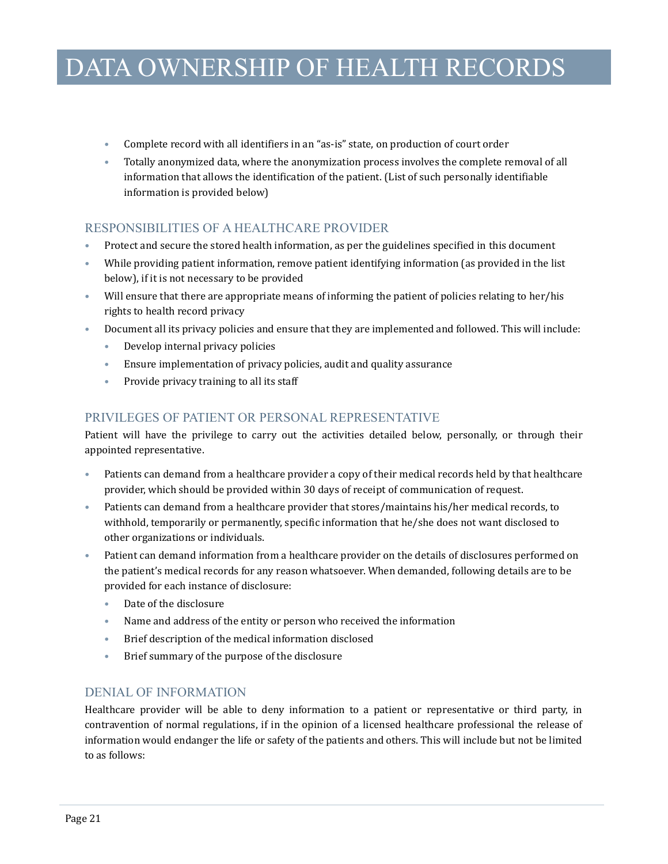- Complete record with all identifiers in an "as-is" state, on production of court order
- Totally anonymized data, where the anonymization process involves the complete removal of all information that allows the identification of the patient. (List of such personally identifiable information is provided below)

### RESPONSIBILITIES OF A HEALTHCARE PROVIDER

- Protect and secure the stored health information, as per the guidelines specified in this document
- While providing patient information, remove patient identifying information (as provided in the list below), if it is not necessary to be provided
- Will ensure that there are appropriate means of informing the patient of policies relating to her/his rights to health record privacy
- Document all its privacy policies and ensure that they are implemented and followed. This will include:
	- Develop internal privacy policies
	- Ensure implementation of privacy policies, audit and quality assurance
	- Provide privacy training to all its staff

### PRIVILEGES OF PATIENT OR PERSONAL REPRESENTATIVE

Patient will have the privilege to carry out the activities detailed below, personally, or through their appointed representative.

- Patients can demand from a healthcare provider a copy of their medical records held by that healthcare provider, which should be provided within 30 days of receipt of communication of request.
- Patients can demand from a healthcare provider that stores/maintains his/her medical records, to withhold, temporarily or permanently, specific information that he/she does not want disclosed to other organizations or individuals.
- Patient can demand information from a healthcare provider on the details of disclosures performed on the patient's medical records for any reason whatsoever. When demanded, following details are to be provided for each instance of disclosure:
	- Date of the disclosure
	- Name and address of the entity or person who received the information
	- Brief description of the medical information disclosed
	- Brief summary of the purpose of the disclosure

### DENIAL OF INFORMATION

Healthcare provider will be able to deny information to a patient or representative or third party, in contravention of normal regulations, if in the opinion of a licensed healthcare professional the release of information would endanger the life or safety of the patients and others. This will include but not be limited to as follows: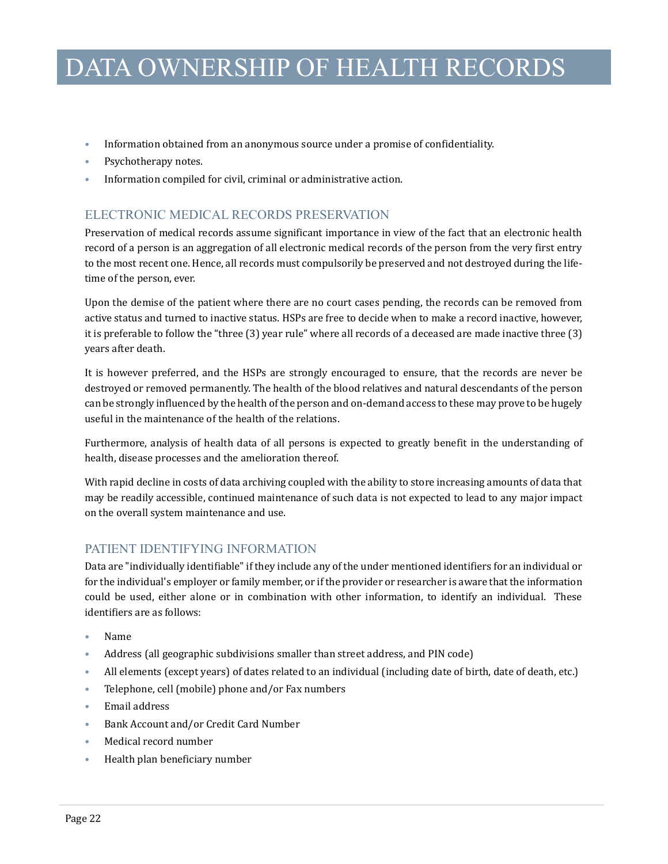- Information obtained from an anonymous source under a promise of confidentiality.
- Psychotherapy notes.
- Information compiled for civil, criminal or administrative action.

### ELECTRONIC MEDICAL RECORDS PRESERVATION

Preservation of medical records assume significant importance in view of the fact that an electronic health record of a person is an aggregation of all electronic medical records of the person from the very first entry to the most recent one. Hence, all records must compulsorily be preserved and not destroyed during the lifetime of the person, ever.

Upon the demise of the patient where there are no court cases pending, the records can be removed from active status and turned to inactive status. HSPs are free to decide when to make a record inactive, however, it is preferable to follow the "three (3) year rule" where all records of a deceased are made inactive three (3) years after death.

It is however preferred, and the HSPs are strongly encouraged to ensure, that the records are never be destroyed or removed permanently. The health of the blood relatives and natural descendants of the person can be strongly influenced by the health of the person and on-demand access to these may prove to be hugely useful in the maintenance of the health of the relations.

Furthermore, analysis of health data of all persons is expected to greatly benefit in the understanding of health, disease processes and the amelioration thereof.

With rapid decline in costs of data archiving coupled with the ability to store increasing amounts of data that may be readily accessible, continued maintenance of such data is not expected to lead to any major impact on the overall system maintenance and use.

### PATIENT IDENTIFYING INFORMATION

Data are "individually identifiable" if they include any of the under mentioned identifiers for an individual or for the individual's employer or family member, or if the provider or researcher is aware that the information could be used, either alone or in combination with other information, to identify an individual. These identifiers are as follows:

- Name
- Address (all geographic subdivisions smaller than street address, and PIN code)
- All elements (except years) of dates related to an individual (including date of birth, date of death, etc.)
- Telephone, cell (mobile) phone and/or Fax numbers
- Email address
- Bank Account and/or Credit Card Number
- Medical record number
- Health plan beneficiary number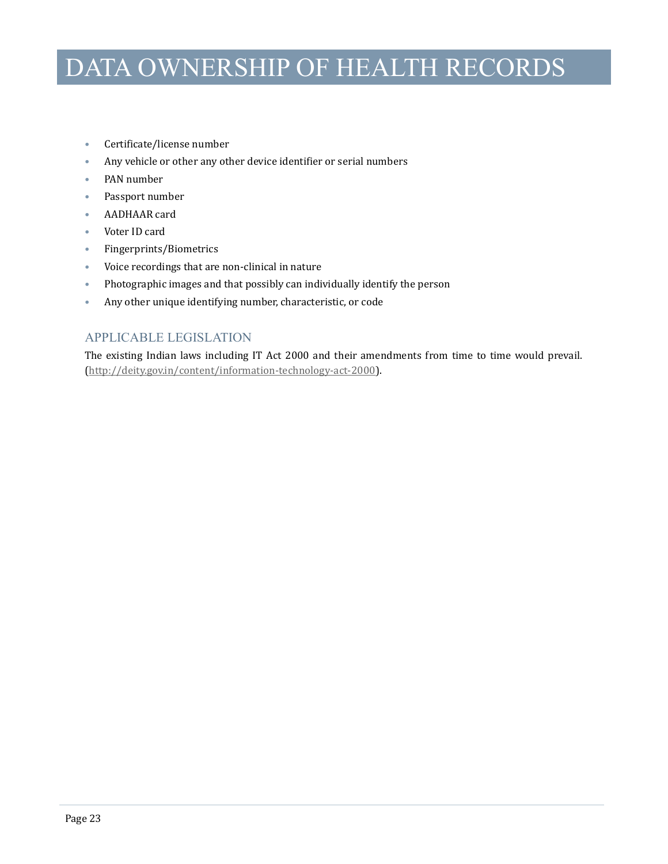- Certificate/license number
- Any vehicle or other any other device identifier or serial numbers
- PAN number
- Passport number
- AADHAAR card
- Voter ID card
- Fingerprints/Biometrics
- Voice recordings that are non-clinical in nature
- Photographic images and that possibly can individually identify the person
- Any other unique identifying number, characteristic, or code

### APPLICABLE LEGISLATION

The existing Indian laws including IT Act 2000 and their amendments from time to time would prevail. [\(http://deity.gov.in/content/information-technology-act-2000\)](http://deity.gov.in/content/information-technology-act-2000).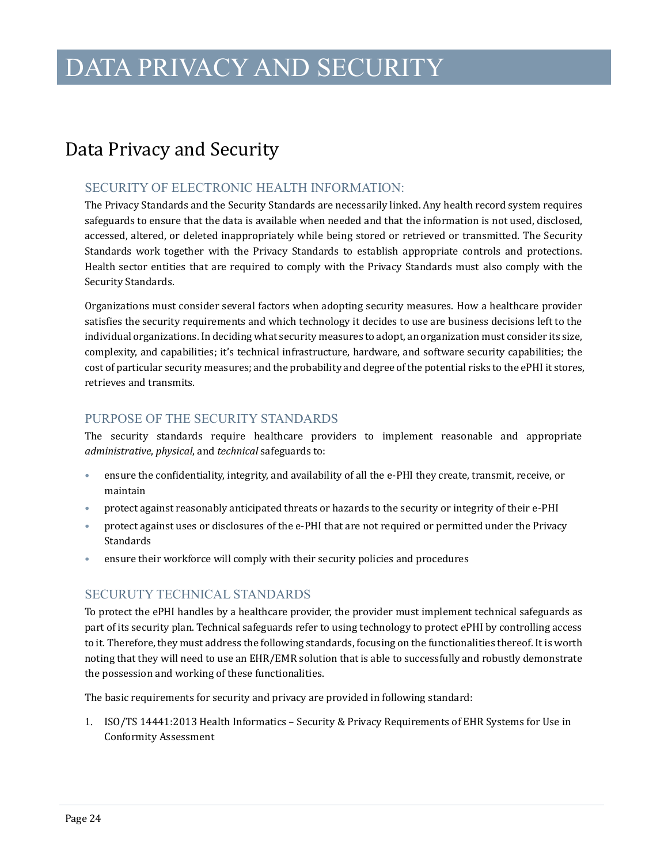### <span id="page-26-0"></span>Data Privacy and Security

#### SECURITY OF ELECTRONIC HEALTH INFORMATION:

The Privacy Standards and the Security Standards are necessarily linked. Any health record system requires safeguards to ensure that the data is available when needed and that the information is not used, disclosed, accessed, altered, or deleted inappropriately while being stored or retrieved or transmitted. The Security Standards work together with the Privacy Standards to establish appropriate controls and protections. Health sector entities that are required to comply with the Privacy Standards must also comply with the Security Standards.

Organizations must consider several factors when adopting security measures. How a healthcare provider satisfies the security requirements and which technology it decides to use are business decisions left to the individual organizations. In deciding what security measures to adopt, an organization must consider its size, complexity, and capabilities; it's technical infrastructure, hardware, and software security capabilities; the cost of particular security measures; and the probability and degree of the potential risks to the ePHI it stores, retrieves and transmits.

#### PURPOSE OF THE SECURITY STANDARDS

The security standards require healthcare providers to implement reasonable and appropriate *administrative*, *physical*, and *technical* safeguards to:

- ensure the confidentiality, integrity, and availability of all the e-PHI they create, transmit, receive, or maintain
- protect against reasonably anticipated threats or hazards to the security or integrity of their e-PHI
- protect against uses or disclosures of the e-PHI that are not required or permitted under the Privacy Standards
- ensure their workforce will comply with their security policies and procedures

### SECURUTY TECHNICAL STANDARDS

To protect the ePHI handles by a healthcare provider, the provider must implement technical safeguards as part of its security plan. Technical safeguards refer to using technology to protect ePHI by controlling access to it. Therefore, they must address the following standards, focusing on the functionalities thereof. It is worth noting that they will need to use an EHR/EMR solution that is able to successfully and robustly demonstrate the possession and working of these functionalities.

The basic requirements for security and privacy are provided in following standard:

1. ISO/TS 14441:2013 Health Informatics – Security & Privacy Requirements of EHR Systems for Use in Conformity Assessment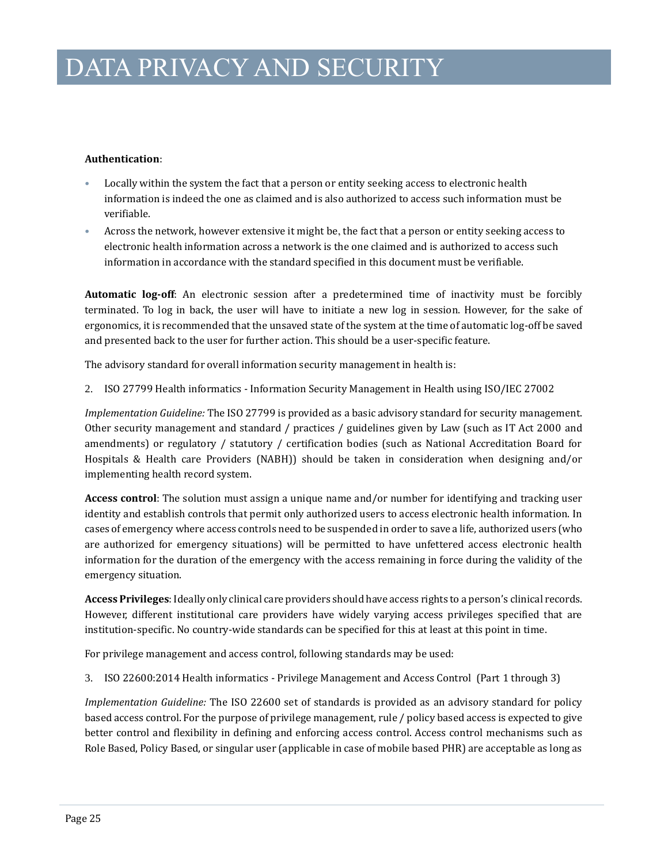#### **Authentication**:

- Locally within the system the fact that a person or entity seeking access to electronic health information is indeed the one as claimed and is also authorized to access such information must be verifiable.
- Across the network, however extensive it might be, the fact that a person or entity seeking access to electronic health information across a network is the one claimed and is authorized to access such information in accordance with the standard specified in this document must be verifiable.

**Automatic log-off**: An electronic session after a predetermined time of inactivity must be forcibly terminated. To log in back, the user will have to initiate a new log in session. However, for the sake of ergonomics, it is recommended that the unsaved state of the system at the time of automatic log-off be saved and presented back to the user for further action. This should be a user-specific feature.

The advisory standard for overall information security management in health is:

2. ISO 27799 Health informatics - Information Security Management in Health using ISO/IEC 27002

*Implementation Guideline:* The ISO 27799 is provided as a basic advisory standard for security management. Other security management and standard / practices / guidelines given by Law (such as IT Act 2000 and amendments) or regulatory / statutory / certification bodies (such as National Accreditation Board for Hospitals & Health care Providers (NABH)) should be taken in consideration when designing and/or implementing health record system.

**Access control**: The solution must assign a unique name and/or number for identifying and tracking user identity and establish controls that permit only authorized users to access electronic health information. In cases of emergency where access controls need to be suspended in order to save a life, authorized users (who are authorized for emergency situations) will be permitted to have unfettered access electronic health information for the duration of the emergency with the access remaining in force during the validity of the emergency situation.

**Access Privileges**: Ideally only clinical care providers should have access rights to a person's clinical records. However, different institutional care providers have widely varying access privileges specified that are institution-specific. No country-wide standards can be specified for this at least at this point in time.

For privilege management and access control, following standards may be used:

3. ISO 22600:2014 Health informatics - Privilege Management and Access Control (Part 1 through 3)

*Implementation Guideline:* The ISO 22600 set of standards is provided as an advisory standard for policy based access control. For the purpose of privilege management, rule / policy based access is expected to give better control and flexibility in defining and enforcing access control. Access control mechanisms such as Role Based, Policy Based, or singular user (applicable in case of mobile based PHR) are acceptable as long as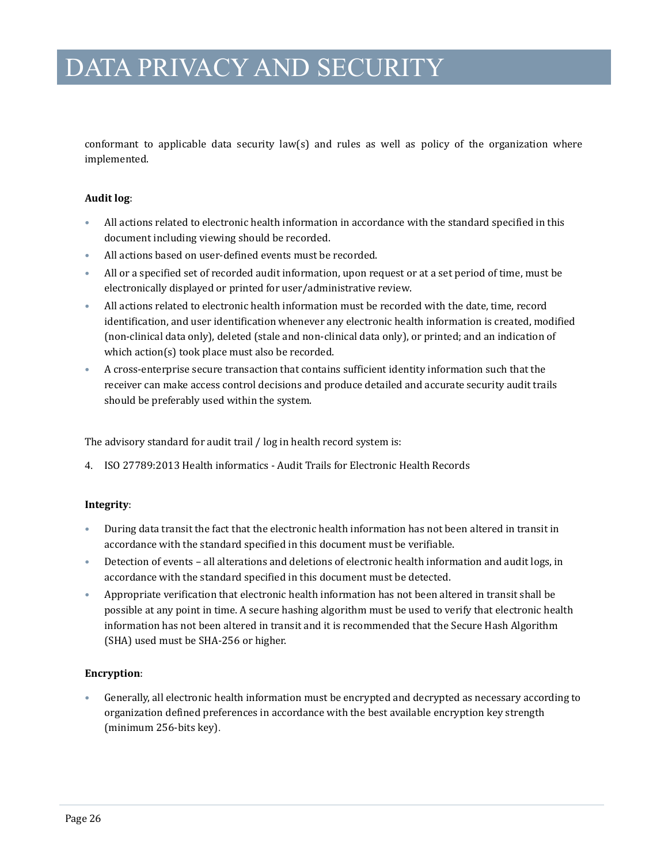conformant to applicable data security law(s) and rules as well as policy of the organization where implemented.

#### **Audit log**:

- All actions related to electronic health information in accordance with the standard specified in this document including viewing should be recorded.
- All actions based on user-defined events must be recorded.
- All or a specified set of recorded audit information, upon request or at a set period of time, must be electronically displayed or printed for user/administrative review.
- All actions related to electronic health information must be recorded with the date, time, record identification, and user identification whenever any electronic health information is created, modified (non-clinical data only), deleted (stale and non-clinical data only), or printed; and an indication of which action(s) took place must also be recorded.
- A cross-enterprise secure transaction that contains sufficient identity information such that the receiver can make access control decisions and produce detailed and accurate security audit trails should be preferably used within the system.

The advisory standard for audit trail / log in health record system is:

4. ISO 27789:2013 Health informatics - Audit Trails for Electronic Health Records

#### **Integrity**:

- During data transit the fact that the electronic health information has not been altered in transit in accordance with the standard specified in this document must be verifiable.
- Detection of events all alterations and deletions of electronic health information and audit logs, in accordance with the standard specified in this document must be detected.
- Appropriate verification that electronic health information has not been altered in transit shall be possible at any point in time. A secure hashing algorithm must be used to verify that electronic health information has not been altered in transit and it is recommended that the Secure Hash Algorithm (SHA) used must be SHA-256 or higher.

#### **Encryption**:

• Generally, all electronic health information must be encrypted and decrypted as necessary according to organization defined preferences in accordance with the best available encryption key strength (minimum 256-bits key).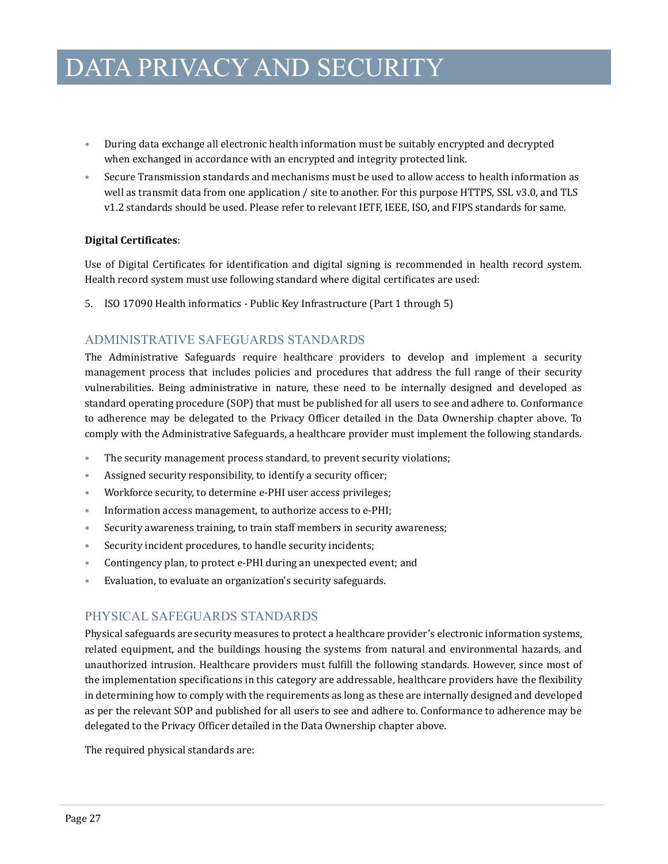- During data exchange all electronic health information must be suitably encrypted and decrypted when exchanged in accordance with an encrypted and integrity protected link.
- Secure Transmission standards and mechanisms must be used to allow access to health information as well as transmit data from one application / site to another. For this purpose HTTPS, SSL v3.0, and TLS v1.2 standards should be used. Please refer to relevant IETF, IEEE, ISO, and FIPS standards for same.

#### **Digital Certificates**:

Use of Digital Certificates for identification and digital signing is recommended in health record system. Health record system must use following standard where digital certificates are used:

5. ISO 17090 Health informatics - Public Key Infrastructure (Part 1 through 5)

### ADMINISTRATIVE SAFEGUARDS STANDARDS

The Administrative Safeguards require healthcare providers to develop and implement a security management process that includes policies and procedures that address the full range of their security vulnerabilities. Being administrative in nature, these need to be internally designed and developed as standard operating procedure (SOP) that must be published for all users to see and adhere to. Conformance to adherence may be delegated to the Privacy Officer detailed in the Data Ownership chapter above. To comply with the Administrative Safeguards, a healthcare provider must implement the following standards.

- The security management process standard, to prevent security violations;
- Assigned security responsibility, to identify a security officer;
- Workforce security, to determine e-PHI user access privileges;
- Information access management, to authorize access to e-PHI;
- Security awareness training, to train staff members in security awareness;
- Security incident procedures, to handle security incidents;
- Contingency plan, to protect e-PHI during an unexpected event; and
- Evaluation, to evaluate an organization's security safeguards.

### PHYSICAL SAFEGUARDS STANDARDS

Physical safeguards are security measures to protect a healthcare provider's electronic information systems, related equipment, and the buildings housing the systems from natural and environmental hazards, and unauthorized intrusion. Healthcare providers must fulfill the following standards. However, since most of the implementation specifications in this category are addressable, healthcare providers have the flexibility in determining how to comply with the requirements as long as these are internally designed and developed as per the relevant SOP and published for all users to see and adhere to. Conformance to adherence may be delegated to the Privacy Officer detailed in the Data Ownership chapter above.

The required physical standards are: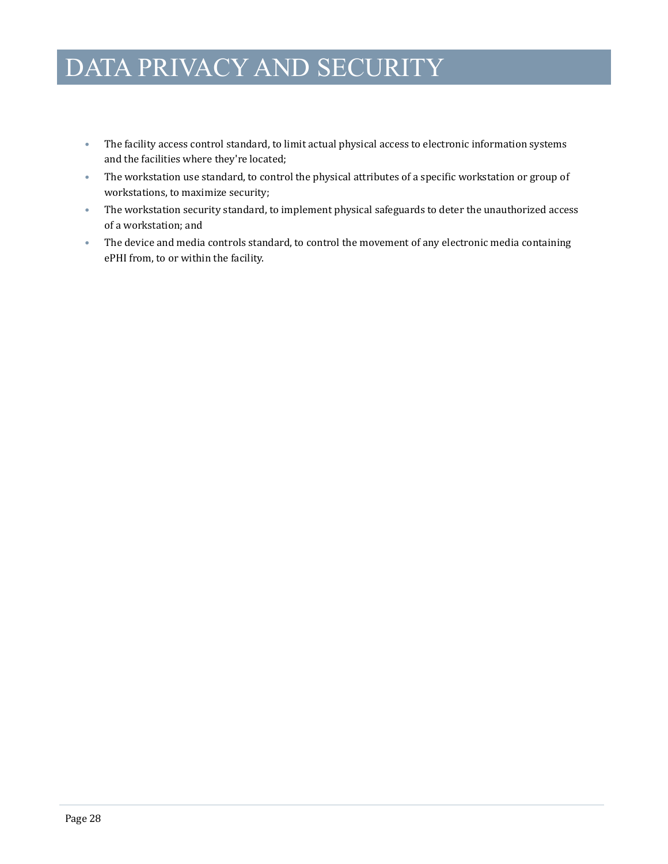- The facility access control standard, to limit actual physical access to electronic information systems and the facilities where they're located;
- The workstation use standard, to control the physical attributes of a specific workstation or group of workstations, to maximize security;
- The workstation security standard, to implement physical safeguards to deter the unauthorized access of a workstation; and
- The device and media controls standard, to control the movement of any electronic media containing ePHI from, to or within the facility.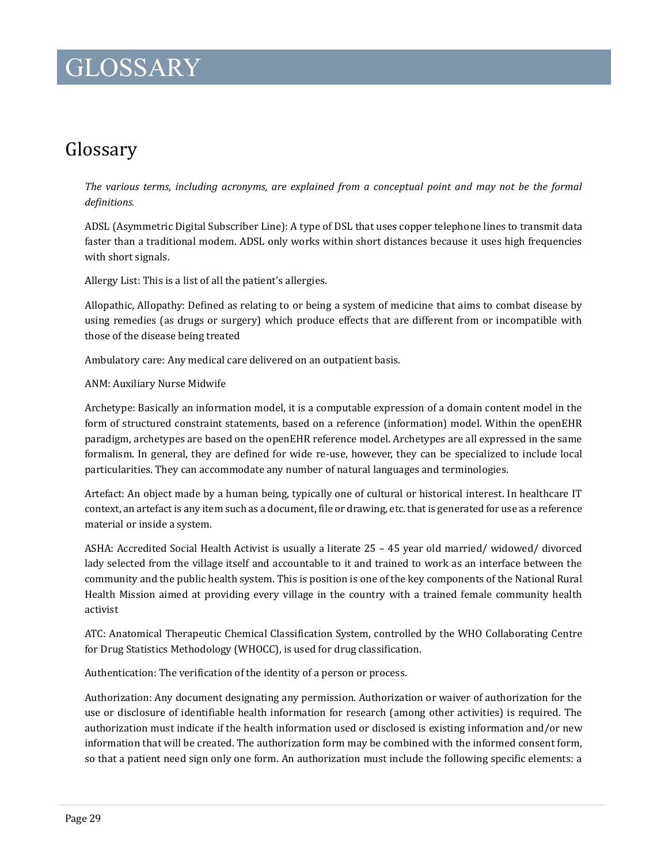### <span id="page-31-0"></span>Glossary

*The various terms, including acronyms, are explained from a conceptual point and may not be the formal definitions.*

ADSL (Asymmetric Digital Subscriber Line): A type of DSL that uses copper telephone lines to transmit data faster than a traditional modem. ADSL only works within short distances because it uses high frequencies with short signals.

Allergy List: This is a list of all the patient's allergies.

Allopathic, Allopathy: Defined as relating to or being a system of medicine that aims to combat disease by using remedies (as drugs or surgery) which produce effects that are different from or incompatible with those of the disease being treated

Ambulatory care: Any medical care delivered on an outpatient basis.

#### ANM: Auxiliary Nurse Midwife

Archetype: Basically an information model, it is a computable expression of a domain content model in the form of structured constraint statements, based on a reference (information) model. Within the openEHR paradigm, archetypes are based on the openEHR reference model. Archetypes are all expressed in the same formalism. In general, they are defined for wide re-use, however, they can be specialized to include local particularities. They can accommodate any number of natural languages and terminologies.

Artefact: An object made by a human being, typically one of cultural or historical interest. In healthcare IT context, an artefact is any item such as a document, file or drawing, etc. that is generated for use as a reference material or inside a system.

ASHA: Accredited Social Health Activist is usually a literate 25 – 45 year old married/ widowed/ divorced lady selected from the village itself and accountable to it and trained to work as an interface between the community and the public health system. This is position is one of the key components of the National Rural Health Mission aimed at providing every village in the country with a trained female community health activist

ATC: Anatomical Therapeutic Chemical Classification System, controlled by the WHO Collaborating Centre for Drug Statistics Methodology (WHOCC), is used for drug classification.

Authentication: The verification of the identity of a person or process.

Authorization: Any document designating any permission. Authorization or waiver of authorization for the use or disclosure of identifiable health information for research (among other activities) is required. The authorization must indicate if the health information used or disclosed is existing information and/or new information that will be created. The authorization form may be combined with the informed consent form, so that a patient need sign only one form. An authorization must include the following specific elements: a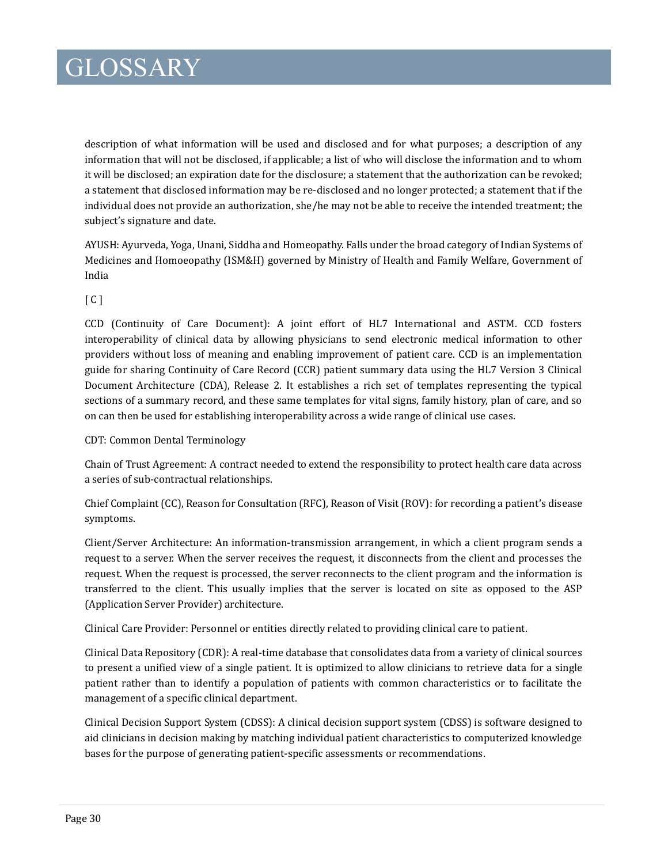description of what information will be used and disclosed and for what purposes; a description of any information that will not be disclosed, if applicable; a list of who will disclose the information and to whom it will be disclosed; an expiration date for the disclosure; a statement that the authorization can be revoked; a statement that disclosed information may be re-disclosed and no longer protected; a statement that if the individual does not provide an authorization, she/he may not be able to receive the intended treatment; the subject's signature and date.

AYUSH: Ayurveda, Yoga, Unani, Siddha and Homeopathy. Falls under the broad category of Indian Systems of Medicines and Homoeopathy (ISM&H) governed by Ministry of Health and Family Welfare, Government of India

#### [ C ]

CCD (Continuity of Care Document): A joint effort of HL7 International and ASTM. CCD fosters interoperability of clinical data by allowing physicians to send electronic medical information to other providers without loss of meaning and enabling improvement of patient care. CCD is an implementation guide for sharing Continuity of Care Record (CCR) patient summary data using the HL7 Version 3 Clinical Document Architecture (CDA), Release 2. It establishes a rich set of templates representing the typical sections of a summary record, and these same templates for vital signs, family history, plan of care, and so on can then be used for establishing interoperability across a wide range of clinical use cases.

#### CDT: Common Dental Terminology

Chain of Trust Agreement: A contract needed to extend the responsibility to protect health care data across a series of sub-contractual relationships.

Chief Complaint (CC), Reason for Consultation (RFC), Reason of Visit (ROV): for recording a patient's disease symptoms.

Client/Server Architecture: An information-transmission arrangement, in which a client program sends a request to a server. When the server receives the request, it disconnects from the client and processes the request. When the request is processed, the server reconnects to the client program and the information is transferred to the client. This usually implies that the server is located on site as opposed to the ASP (Application Server Provider) architecture.

Clinical Care Provider: Personnel or entities directly related to providing clinical care to patient.

Clinical Data Repository (CDR): A real-time database that consolidates data from a variety of clinical sources to present a unified view of a single patient. It is optimized to allow clinicians to retrieve data for a single patient rather than to identify a population of patients with common characteristics or to facilitate the management of a specific clinical department.

Clinical Decision Support System (CDSS): A clinical decision support system (CDSS) is software designed to aid clinicians in decision making by matching individual patient characteristics to computerized knowledge bases for the purpose of generating patient-specific assessments or recommendations.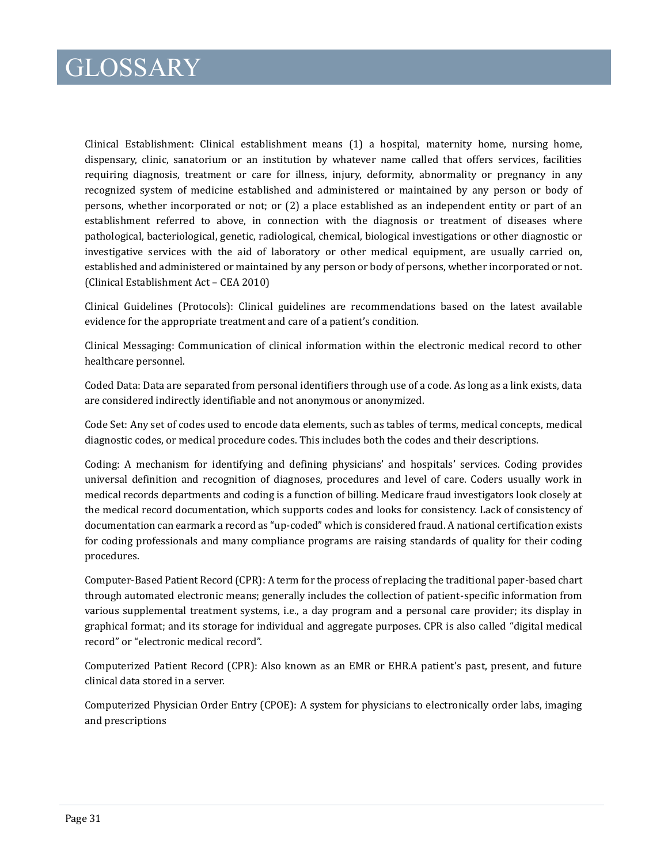Clinical Establishment: Clinical establishment means (1) a hospital, maternity home, nursing home, dispensary, clinic, sanatorium or an institution by whatever name called that offers services, facilities requiring diagnosis, treatment or care for illness, injury, deformity, abnormality or pregnancy in any recognized system of medicine established and administered or maintained by any person or body of persons, whether incorporated or not; or (2) a place established as an independent entity or part of an establishment referred to above, in connection with the diagnosis or treatment of diseases where pathological, bacteriological, genetic, radiological, chemical, biological investigations or other diagnostic or investigative services with the aid of laboratory or other medical equipment, are usually carried on, established and administered or maintained by any person or body of persons, whether incorporated or not. (Clinical Establishment Act – CEA 2010)

Clinical Guidelines (Protocols): Clinical guidelines are recommendations based on the latest available evidence for the appropriate treatment and care of a patient's condition.

Clinical Messaging: Communication of clinical information within the electronic medical record to other healthcare personnel.

Coded Data: Data are separated from personal identifiers through use of a code. As long as a link exists, data are considered indirectly identifiable and not anonymous or anonymized.

Code Set: Any set of codes used to encode data elements, such as tables of terms, medical concepts, medical diagnostic codes, or medical procedure codes. This includes both the codes and their descriptions.

Coding: A mechanism for identifying and defining physicians' and hospitals' services. Coding provides universal definition and recognition of diagnoses, procedures and level of care. Coders usually work in medical records departments and coding is a function of billing. Medicare fraud investigators look closely at the medical record documentation, which supports codes and looks for consistency. Lack of consistency of documentation can earmark a record as "up-coded" which is considered fraud. A national certification exists for coding professionals and many compliance programs are raising standards of quality for their coding procedures.

Computer-Based Patient Record (CPR): A term for the process of replacing the traditional paper-based chart through automated electronic means; generally includes the collection of patient-specific information from various supplemental treatment systems, i.e., a day program and a personal care provider; its display in graphical format; and its storage for individual and aggregate purposes. CPR is also called "digital medical record" or "electronic medical record".

Computerized Patient Record (CPR): Also known as an EMR or EHR.A patient's past, present, and future clinical data stored in a server.

Computerized Physician Order Entry (CPOE): A system for physicians to electronically order labs, imaging and prescriptions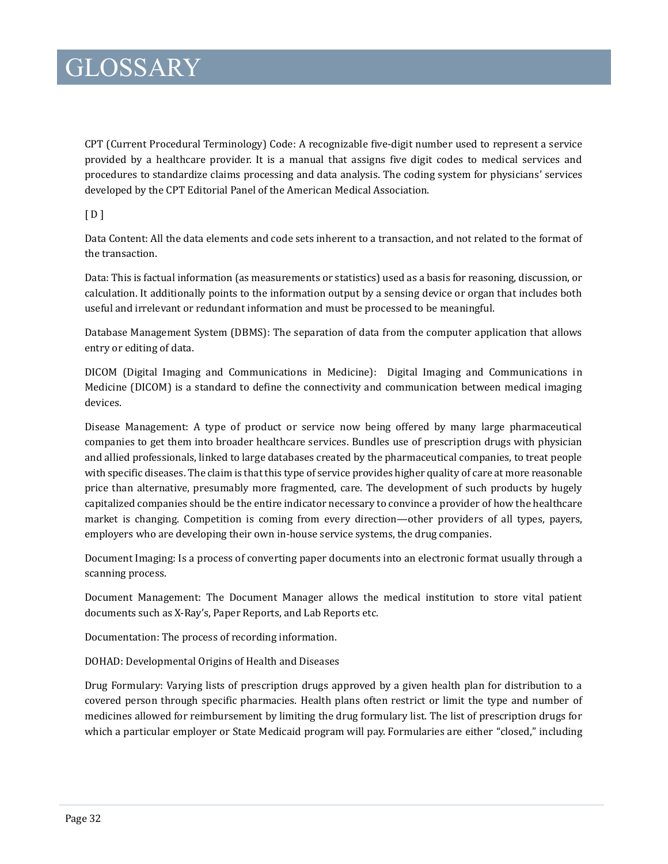CPT (Current Procedural Terminology) Code: A recognizable five-digit number used to represent a service provided by a healthcare provider. It is a manual that assigns five digit codes to medical services and procedures to standardize claims processing and data analysis. The coding system for physicians' services developed by the CPT Editorial Panel of the American Medical Association.

 $[D]$ 

Data Content: All the data elements and code sets inherent to a transaction, and not related to the format of the transaction.

Data: This is factual information (as measurements or statistics) used as a basis for reasoning, discussion, or calculation. It additionally points to the information output by a sensing device or organ that includes both useful and irrelevant or redundant information and must be processed to be meaningful.

Database Management System (DBMS): The separation of data from the computer application that allows entry or editing of data.

DICOM (Digital Imaging and Communications in Medicine): Digital Imaging and Communications in Medicine (DICOM) is a standard to define the connectivity and communication between medical imaging devices.

Disease Management: A type of product or service now being offered by many large pharmaceutical companies to get them into broader healthcare services. Bundles use of prescription drugs with physician and allied professionals, linked to large databases created by the pharmaceutical companies, to treat people with specific diseases. The claim is that this type of service provides higher quality of care at more reasonable price than alternative, presumably more fragmented, care. The development of such products by hugely capitalized companies should be the entire indicator necessary to convince a provider of how the healthcare market is changing. Competition is coming from every direction—other providers of all types, payers, employers who are developing their own in-house service systems, the drug companies.

Document Imaging: Is a process of converting paper documents into an electronic format usually through a scanning process.

Document Management: The Document Manager allows the medical institution to store vital patient documents such as X-Ray's, Paper Reports, and Lab Reports etc.

Documentation: The process of recording information.

DOHAD: Developmental Origins of Health and Diseases

Drug Formulary: Varying lists of prescription drugs approved by a given health plan for distribution to a covered person through specific pharmacies. Health plans often restrict or limit the type and number of medicines allowed for reimbursement by limiting the drug formulary list. The list of prescription drugs for which a particular employer or State Medicaid program will pay. Formularies are either "closed," including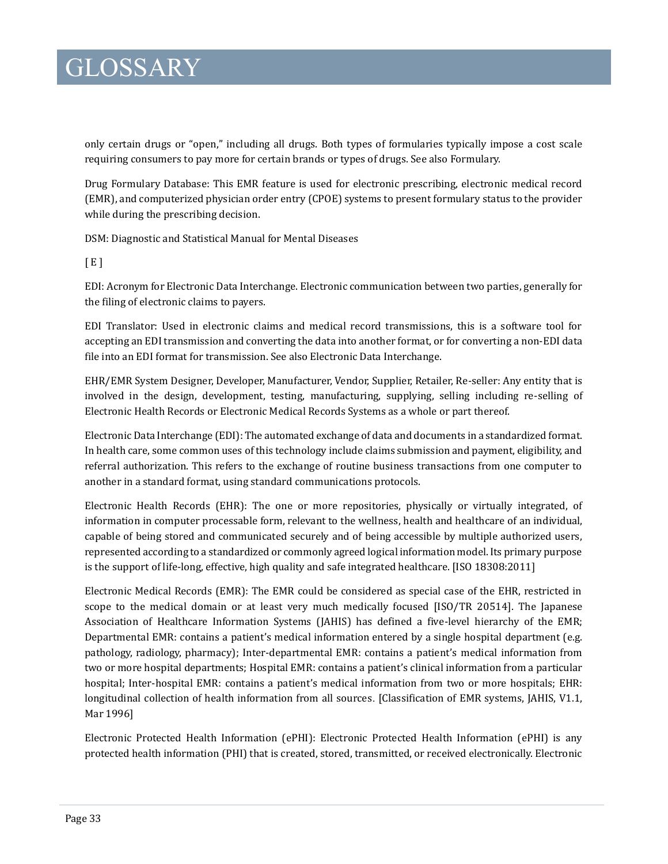only certain drugs or "open," including all drugs. Both types of formularies typically impose a cost scale requiring consumers to pay more for certain brands or types of drugs. See also Formulary.

Drug Formulary Database: This EMR feature is used for electronic prescribing, electronic medical record (EMR), and computerized physician order entry (CPOE) systems to present formulary status to the provider while during the prescribing decision.

DSM: Diagnostic and Statistical Manual for Mental Diseases

 $[E]$ 

EDI: Acronym for Electronic Data Interchange. Electronic communication between two parties, generally for the filing of electronic claims to payers.

EDI Translator: Used in electronic claims and medical record transmissions, this is a software tool for accepting an EDI transmission and converting the data into another format, or for converting a non-EDI data file into an EDI format for transmission. See also Electronic Data Interchange.

EHR/EMR System Designer, Developer, Manufacturer, Vendor, Supplier, Retailer, Re-seller: Any entity that is involved in the design, development, testing, manufacturing, supplying, selling including re-selling of Electronic Health Records or Electronic Medical Records Systems as a whole or part thereof.

Electronic Data Interchange (EDI): The automated exchange of data and documents in a standardized format. In health care, some common uses of this technology include claims submission and payment, eligibility, and referral authorization. This refers to the exchange of routine business transactions from one computer to another in a standard format, using standard communications protocols.

Electronic Health Records (EHR): The one or more repositories, physically or virtually integrated, of information in computer processable form, relevant to the wellness, health and healthcare of an individual, capable of being stored and communicated securely and of being accessible by multiple authorized users, represented according to a standardized or commonly agreed logical information model. Its primary purpose is the support of life-long, effective, high quality and safe integrated healthcare. [ISO 18308:2011]

Electronic Medical Records (EMR): The EMR could be considered as special case of the EHR, restricted in scope to the medical domain or at least very much medically focused [ISO/TR 20514]. The Japanese Association of Healthcare Information Systems (JAHIS) has defined a five-level hierarchy of the EMR; Departmental EMR: contains a patient's medical information entered by a single hospital department (e.g. pathology, radiology, pharmacy); Inter-departmental EMR: contains a patient's medical information from two or more hospital departments; Hospital EMR: contains a patient's clinical information from a particular hospital; Inter-hospital EMR: contains a patient's medical information from two or more hospitals; EHR: longitudinal collection of health information from all sources. [Classification of EMR systems, JAHIS, V1.1, Mar 1996]

Electronic Protected Health Information (ePHI): Electronic Protected Health Information (ePHI) is any protected health information (PHI) that is created, stored, transmitted, or received electronically. Electronic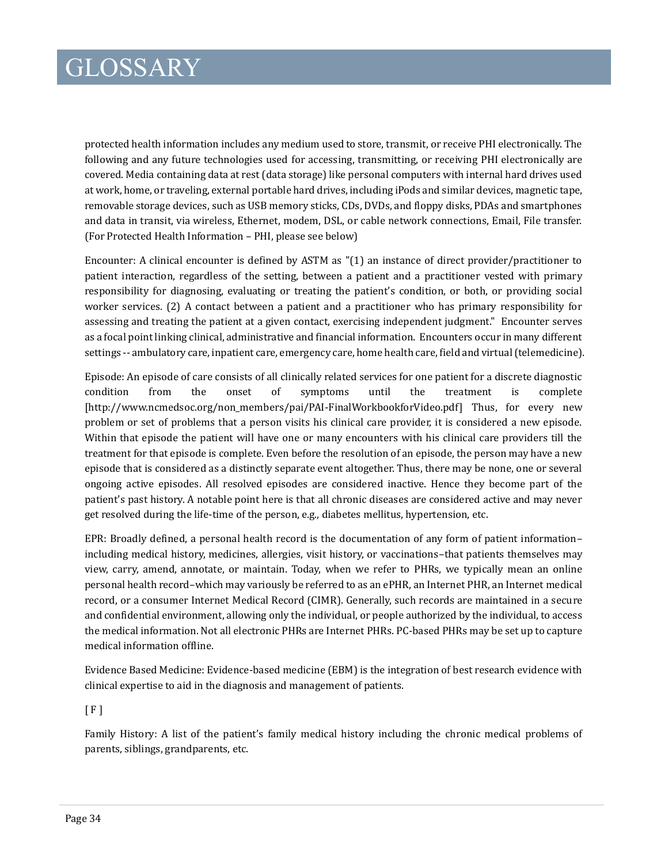protected health information includes any medium used to store, transmit, or receive PHI electronically. The following and any future technologies used for accessing, transmitting, or receiving PHI electronically are covered. Media containing data at rest (data storage) like personal computers with internal hard drives used at work, home, or traveling, external portable hard drives, including iPods and similar devices, magnetic tape, removable storage devices, such as USB memory sticks, CDs, DVDs, and floppy disks, PDAs and smartphones and data in transit, via wireless, Ethernet, modem, DSL, or cable network connections, Email, File transfer. (For Protected Health Information – PHI, please see below)

Encounter: A clinical encounter is defined by ASTM as "(1) an instance of direct provider/practitioner to patient interaction, regardless of the setting, between a patient and a practitioner vested with primary responsibility for diagnosing, evaluating or treating the patient's condition, or both, or providing social worker services. (2) A contact between a patient and a practitioner who has primary responsibility for assessing and treating the patient at a given contact, exercising independent judgment." Encounter serves as a focal point linking clinical, administrative and financial information. Encounters occur in many different settings -- ambulatory care, inpatient care, emergency care, home health care, field and virtual (telemedicine).

Episode: An episode of care consists of all clinically related services for one patient for a discrete diagnostic condition from the onset of symptoms until the treatment is complete [http://www.ncmedsoc.org/non\_members/pai/PAI-FinalWorkbookforVideo.pdf] Thus, for every new problem or set of problems that a person visits his clinical care provider, it is considered a new episode. Within that episode the patient will have one or many encounters with his clinical care providers till the treatment for that episode is complete. Even before the resolution of an episode, the person may have a new episode that is considered as a distinctly separate event altogether. Thus, there may be none, one or several ongoing active episodes. All resolved episodes are considered inactive. Hence they become part of the patient's past history. A notable point here is that all chronic diseases are considered active and may never get resolved during the life-time of the person, e.g., diabetes mellitus, hypertension, etc.

EPR: Broadly defined, a personal health record is the documentation of any form of patient information– including medical history, medicines, allergies, visit history, or vaccinations–that patients themselves may view, carry, amend, annotate, or maintain. Today, when we refer to PHRs, we typically mean an online personal health record–which may variously be referred to as an ePHR, an Internet PHR, an Internet medical record, or a consumer Internet Medical Record (CIMR). Generally, such records are maintained in a secure and confidential environment, allowing only the individual, or people authorized by the individual, to access the medical information. Not all electronic PHRs are Internet PHRs. PC-based PHRs may be set up to capture medical information offline.

Evidence Based Medicine: Evidence-based medicine (EBM) is the integration of best research evidence with clinical expertise to aid in the diagnosis and management of patients.

 $[F]$ 

Family History: A list of the patient's family medical history including the chronic medical problems of parents, siblings, grandparents, etc.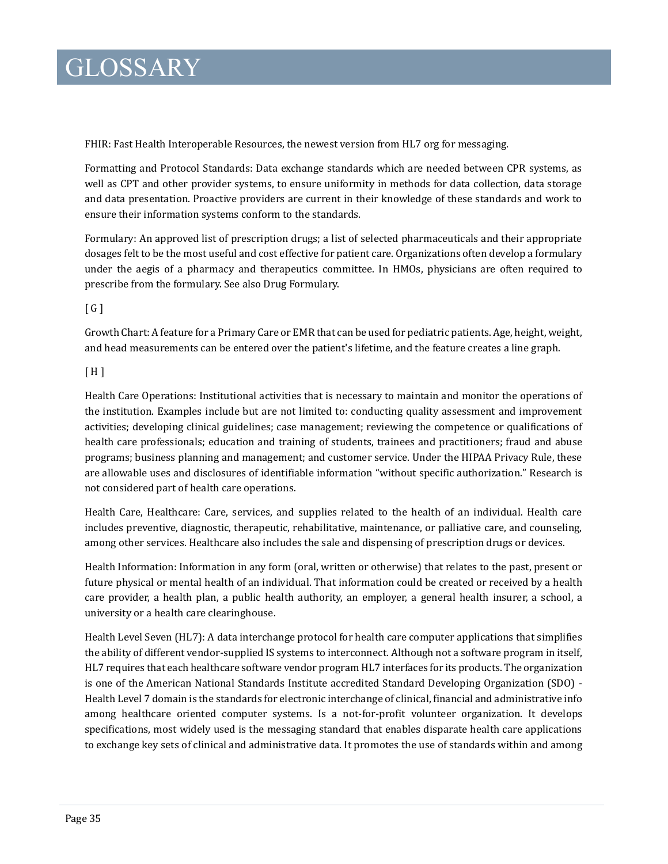FHIR: Fast Health Interoperable Resources, the newest version from HL7 org for messaging.

Formatting and Protocol Standards: Data exchange standards which are needed between CPR systems, as well as CPT and other provider systems, to ensure uniformity in methods for data collection, data storage and data presentation. Proactive providers are current in their knowledge of these standards and work to ensure their information systems conform to the standards.

Formulary: An approved list of prescription drugs; a list of selected pharmaceuticals and their appropriate dosages felt to be the most useful and cost effective for patient care. Organizations often develop a formulary under the aegis of a pharmacy and therapeutics committee. In HMOs, physicians are often required to prescribe from the formulary. See also Drug Formulary.

 $G1$ 

Growth Chart: A feature for a Primary Care or EMR that can be used for pediatric patients. Age, height, weight, and head measurements can be entered over the patient's lifetime, and the feature creates a line graph.

 $[ H ]$ 

Health Care Operations: Institutional activities that is necessary to maintain and monitor the operations of the institution. Examples include but are not limited to: conducting quality assessment and improvement activities; developing clinical guidelines; case management; reviewing the competence or qualifications of health care professionals; education and training of students, trainees and practitioners; fraud and abuse programs; business planning and management; and customer service. Under the HIPAA Privacy Rule, these are allowable uses and disclosures of identifiable information "without specific authorization." Research is not considered part of health care operations.

Health Care, Healthcare: Care, services, and supplies related to the health of an individual. Health care includes preventive, diagnostic, therapeutic, rehabilitative, maintenance, or palliative care, and counseling, among other services. Healthcare also includes the sale and dispensing of prescription drugs or devices.

Health Information: Information in any form (oral, written or otherwise) that relates to the past, present or future physical or mental health of an individual. That information could be created or received by a health care provider, a health plan, a public health authority, an employer, a general health insurer, a school, a university or a health care clearinghouse.

Health Level Seven (HL7): A data interchange protocol for health care computer applications that simplifies the ability of different vendor-supplied IS systems to interconnect. Although not a software program in itself, HL7 requires that each healthcare software vendor program HL7 interfaces for its products. The organization is one of the American National Standards Institute accredited Standard Developing Organization (SDO) - Health Level 7 domain is the standards for electronic interchange of clinical, financial and administrative info among healthcare oriented computer systems. Is a not-for-profit volunteer organization. It develops specifications, most widely used is the messaging standard that enables disparate health care applications to exchange key sets of clinical and administrative data. It promotes the use of standards within and among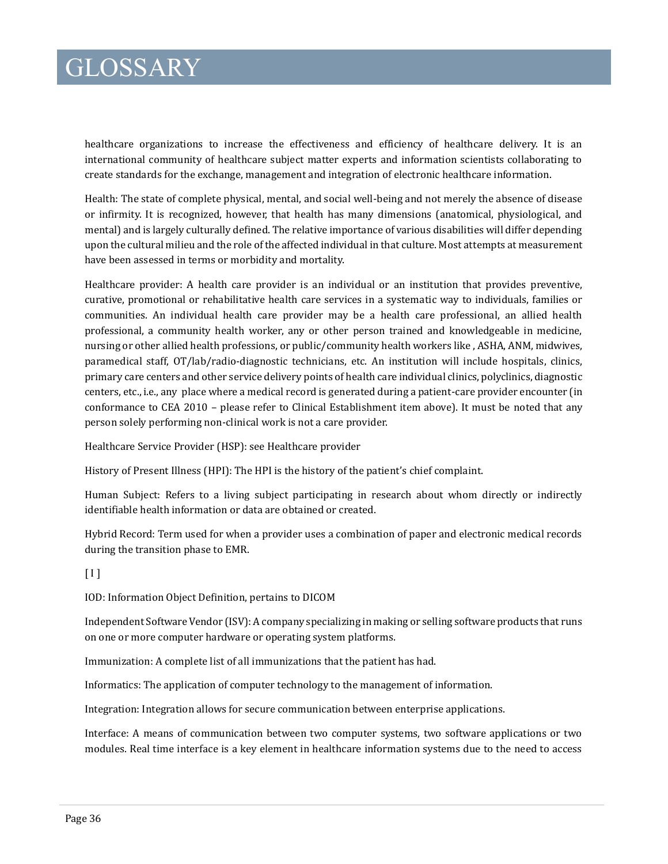healthcare organizations to increase the effectiveness and efficiency of healthcare delivery. It is an international community of healthcare subject matter experts and information scientists collaborating to create standards for the exchange, management and integration of electronic healthcare information.

Health: The state of complete physical, mental, and social well-being and not merely the absence of disease or infirmity. It is recognized, however, that health has many dimensions (anatomical, physiological, and mental) and is largely culturally defined. The relative importance of various disabilities will differ depending upon the cultural milieu and the role of the affected individual in that culture. Most attempts at measurement have been assessed in terms or morbidity and mortality.

Healthcare provider: A health care provider is an individual or an institution that provides preventive, curative, promotional or rehabilitative health care services in a systematic way to individuals, families or communities. An individual health care provider may be a health care professional, an allied health professional, a community health worker, any or other person trained and knowledgeable in medicine, nursing or other allied health professions, or public/community health workers like , ASHA, ANM, midwives, paramedical staff, OT/lab/radio-diagnostic technicians, etc. An institution will include hospitals, clinics, primary care centers and other service delivery points of health care individual clinics, polyclinics, diagnostic centers, etc., i.e., any place where a medical record is generated during a patient-care provider encounter (in conformance to CEA 2010 – please refer to Clinical Establishment item above). It must be noted that any person solely performing non-clinical work is not a care provider.

Healthcare Service Provider (HSP): see Healthcare provider

History of Present Illness (HPI): The HPI is the history of the patient's chief complaint.

Human Subject: Refers to a living subject participating in research about whom directly or indirectly identifiable health information or data are obtained or created.

Hybrid Record: Term used for when a provider uses a combination of paper and electronic medical records during the transition phase to EMR.

 $[1]$ 

IOD: Information Object Definition, pertains to DICOM

Independent Software Vendor (ISV): A company specializing in making or selling software products that runs on one or more computer hardware or operating system platforms.

Immunization: A complete list of all immunizations that the patient has had.

Informatics: The application of computer technology to the management of information.

Integration: Integration allows for secure communication between enterprise applications.

Interface: A means of communication between two computer systems, two software applications or two modules. Real time interface is a key element in healthcare information systems due to the need to access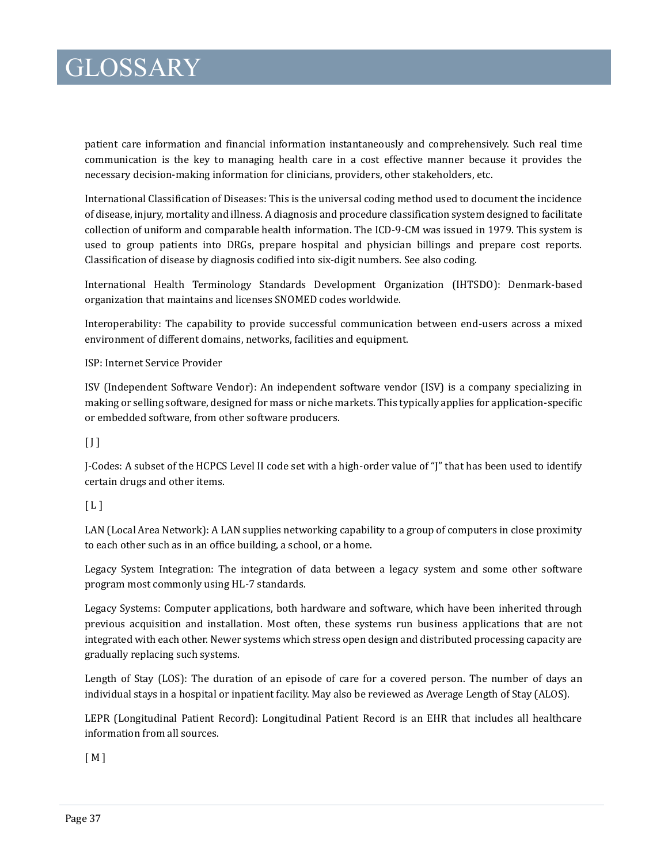patient care information and financial information instantaneously and comprehensively. Such real time communication is the key to managing health care in a cost effective manner because it provides the necessary decision-making information for clinicians, providers, other stakeholders, etc.

International Classification of Diseases: This is the universal coding method used to document the incidence of disease, injury, mortality and illness. A diagnosis and procedure classification system designed to facilitate collection of uniform and comparable health information. The ICD-9-CM was issued in 1979. This system is used to group patients into DRGs, prepare hospital and physician billings and prepare cost reports. Classification of disease by diagnosis codified into six-digit numbers. See also coding.

International Health Terminology Standards Development Organization (IHTSDO): Denmark-based organization that maintains and licenses SNOMED codes worldwide.

Interoperability: The capability to provide successful communication between end-users across a mixed environment of different domains, networks, facilities and equipment.

#### ISP: Internet Service Provider

ISV (Independent Software Vendor): An independent software vendor (ISV) is a company specializing in making or selling software, designed for mass or niche markets. This typically applies for application-specific or embedded software, from other software producers.

#### $[$  J  $]$

J-Codes: A subset of the HCPCS Level II code set with a high-order value of "J" that has been used to identify certain drugs and other items.

#### $[L]$

LAN (Local Area Network): A LAN supplies networking capability to a group of computers in close proximity to each other such as in an office building, a school, or a home.

Legacy System Integration: The integration of data between a legacy system and some other software program most commonly using HL-7 standards.

Legacy Systems: Computer applications, both hardware and software, which have been inherited through previous acquisition and installation. Most often, these systems run business applications that are not integrated with each other. Newer systems which stress open design and distributed processing capacity are gradually replacing such systems.

Length of Stay (LOS): The duration of an episode of care for a covered person. The number of days an individual stays in a hospital or inpatient facility. May also be reviewed as Average Length of Stay (ALOS).

LEPR (Longitudinal Patient Record): Longitudinal Patient Record is an EHR that includes all healthcare information from all sources.

[ M ]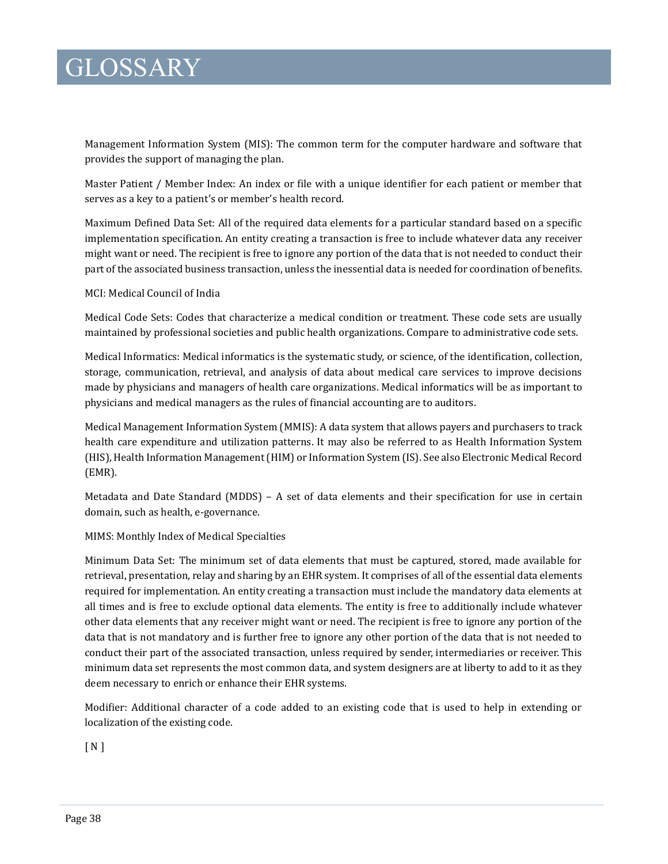Management Information System (MIS): The common term for the computer hardware and software that provides the support of managing the plan.

Master Patient / Member Index: An index or file with a unique identifier for each patient or member that serves as a key to a patient's or member's health record.

Maximum Defined Data Set: All of the required data elements for a particular standard based on a specific implementation specification. An entity creating a transaction is free to include whatever data any receiver might want or need. The recipient is free to ignore any portion of the data that is not needed to conduct their part of the associated business transaction, unless the inessential data is needed for coordination of benefits.

#### MCI: Medical Council of India

Medical Code Sets: Codes that characterize a medical condition or treatment. These code sets are usually maintained by professional societies and public health organizations. Compare to administrative code sets.

Medical Informatics: Medical informatics is the systematic study, or science, of the identification, collection, storage, communication, retrieval, and analysis of data about medical care services to improve decisions made by physicians and managers of health care organizations. Medical informatics will be as important to physicians and medical managers as the rules of financial accounting are to auditors.

Medical Management Information System (MMIS): A data system that allows payers and purchasers to track health care expenditure and utilization patterns. It may also be referred to as Health Information System (HIS), Health Information Management (HIM) or Information System (IS). See also Electronic Medical Record (EMR).

Metadata and Date Standard (MDDS) – A set of data elements and their specification for use in certain domain, such as health, e-governance.

#### MIMS: Monthly Index of Medical Specialties

Minimum Data Set: The minimum set of data elements that must be captured, stored, made available for retrieval, presentation, relay and sharing by an EHR system. It comprises of all of the essential data elements required for implementation. An entity creating a transaction must include the mandatory data elements at all times and is free to exclude optional data elements. The entity is free to additionally include whatever other data elements that any receiver might want or need. The recipient is free to ignore any portion of the data that is not mandatory and is further free to ignore any other portion of the data that is not needed to conduct their part of the associated transaction, unless required by sender, intermediaries or receiver. This minimum data set represents the most common data, and system designers are at liberty to add to it as they deem necessary to enrich or enhance their EHR systems.

Modifier: Additional character of a code added to an existing code that is used to help in extending or localization of the existing code.

 $[N]$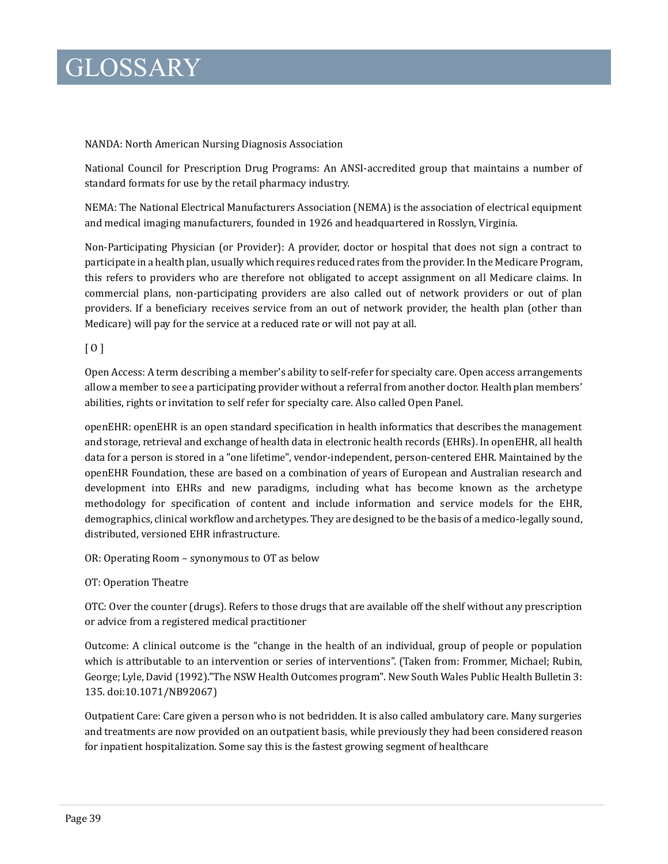#### NANDA: North American Nursing Diagnosis Association

National Council for Prescription Drug Programs: An ANSI-accredited group that maintains a number of standard formats for use by the retail pharmacy industry.

NEMA: The National Electrical Manufacturers Association (NEMA) is the association of electrical equipment and medical imaging manufacturers, founded in 1926 and headquartered in Rosslyn, Virginia.

Non-Participating Physician (or Provider): A provider, doctor or hospital that does not sign a contract to participate in a health plan, usually which requires reduced rates from the provider. In the Medicare Program, this refers to providers who are therefore not obligated to accept assignment on all Medicare claims. In commercial plans, non-participating providers are also called out of network providers or out of plan providers. If a beneficiary receives service from an out of network provider, the health plan (other than Medicare) will pay for the service at a reduced rate or will not pay at all.

#### [ O ]

Open Access: A term describing a member's ability to self-refer for specialty care. Open access arrangements allow a member to see a participating provider without a referral from another doctor. Health plan members' abilities, rights or invitation to self refer for specialty care. Also called Open Panel.

openEHR: openEHR is an open standard specification in health informatics that describes the management and storage, retrieval and exchange of health data in electronic health records (EHRs). In openEHR, all health data for a person is stored in a "one lifetime", vendor-independent, person-centered EHR. Maintained by the openEHR Foundation, these are based on a combination of years of European and Australian research and development into EHRs and new paradigms, including what has become known as the archetype methodology for specification of content and include information and service models for the EHR, demographics, clinical workflow and archetypes. They are designed to be the basis of a medico-legally sound, distributed, versioned EHR infrastructure.

OR: Operating Room – synonymous to OT as below

OT: Operation Theatre

OTC: Over the counter (drugs). Refers to those drugs that are available off the shelf without any prescription or advice from a registered medical practitioner

Outcome: A clinical outcome is the "change in the health of an individual, group of people or population which is attributable to an intervention or series of interventions". (Taken from: Frommer, Michael; Rubin, George; Lyle, David (1992)."The NSW Health Outcomes program". New South Wales Public Health Bulletin 3: 135. doi:10.1071/NB92067)

Outpatient Care: Care given a person who is not bedridden. It is also called ambulatory care. Many surgeries and treatments are now provided on an outpatient basis, while previously they had been considered reason for inpatient hospitalization. Some say this is the fastest growing segment of healthcare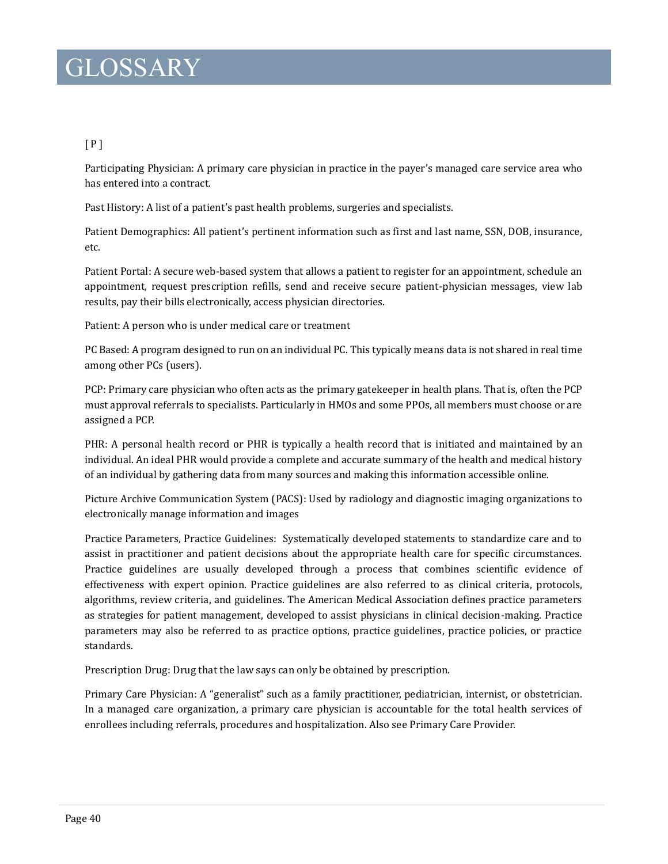### [ P ]

Participating Physician: A primary care physician in practice in the payer's managed care service area who has entered into a contract.

Past History: A list of a patient's past health problems, surgeries and specialists.

Patient Demographics: All patient's pertinent information such as first and last name, SSN, DOB, insurance, etc.

Patient Portal: A secure web-based system that allows a patient to register for an appointment, schedule an appointment, request prescription refills, send and receive secure patient-physician messages, view lab results, pay their bills electronically, access physician directories.

Patient: A person who is under medical care or treatment

PC Based: A program designed to run on an individual PC. This typically means data is not shared in real time among other PCs (users).

PCP: Primary care physician who often acts as the primary gatekeeper in health plans. That is, often the PCP must approval referrals to specialists. Particularly in HMOs and some PPOs, all members must choose or are assigned a PCP.

PHR: A personal health record or PHR is typically a health record that is initiated and maintained by an individual. An ideal PHR would provide a complete and accurate summary of the health and medical history of an individual by gathering data from many sources and making this information accessible online.

Picture Archive Communication System (PACS): Used by radiology and diagnostic imaging organizations to electronically manage information and images

Practice Parameters, Practice Guidelines: Systematically developed statements to standardize care and to assist in practitioner and patient decisions about the appropriate health care for specific circumstances. Practice guidelines are usually developed through a process that combines scientific evidence of effectiveness with expert opinion. Practice guidelines are also referred to as clinical criteria, protocols, algorithms, review criteria, and guidelines. The American Medical Association defines practice parameters as strategies for patient management, developed to assist physicians in clinical decision-making. Practice parameters may also be referred to as practice options, practice guidelines, practice policies, or practice standards.

Prescription Drug: Drug that the law says can only be obtained by prescription.

Primary Care Physician: A "generalist" such as a family practitioner, pediatrician, internist, or obstetrician. In a managed care organization, a primary care physician is accountable for the total health services of enrollees including referrals, procedures and hospitalization. Also see Primary Care Provider.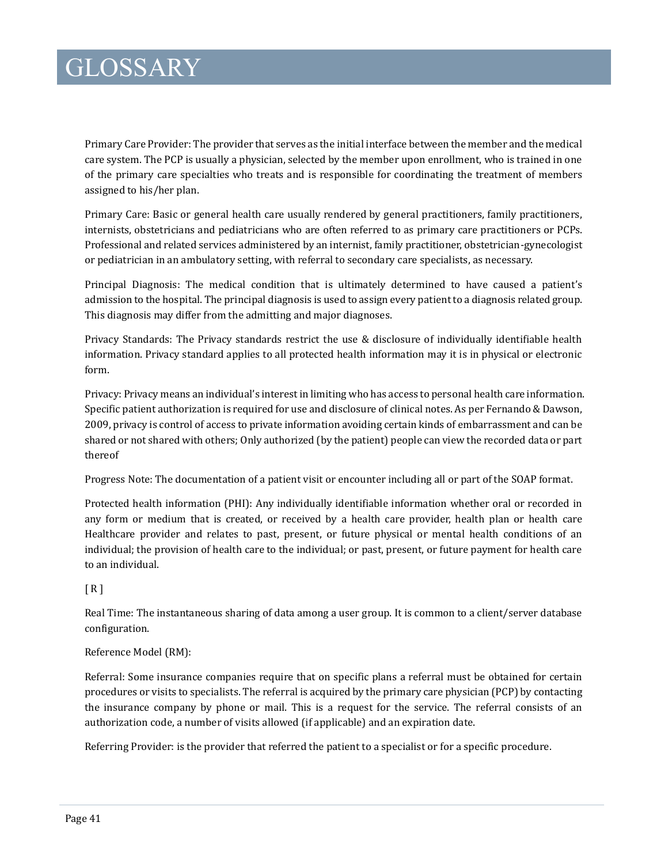Primary Care Provider: The provider that serves as the initial interface between the member and the medical care system. The PCP is usually a physician, selected by the member upon enrollment, who is trained in one of the primary care specialties who treats and is responsible for coordinating the treatment of members assigned to his/her plan.

Primary Care: Basic or general health care usually rendered by general practitioners, family practitioners, internists, obstetricians and pediatricians who are often referred to as primary care practitioners or PCPs. Professional and related services administered by an internist, family practitioner, obstetrician-gynecologist or pediatrician in an ambulatory setting, with referral to secondary care specialists, as necessary.

Principal Diagnosis: The medical condition that is ultimately determined to have caused a patient's admission to the hospital. The principal diagnosis is used to assign every patient to a diagnosis related group. This diagnosis may differ from the admitting and major diagnoses.

Privacy Standards: The Privacy standards restrict the use & disclosure of individually identifiable health information. Privacy standard applies to all protected health information may it is in physical or electronic form.

Privacy: Privacy means an individual's interest in limiting who has access to personal health care information. Specific patient authorization is required for use and disclosure of clinical notes. As per Fernando & Dawson, 2009, privacy is control of access to private information avoiding certain kinds of embarrassment and can be shared or not shared with others; Only authorized (by the patient) people can view the recorded data or part thereof

Progress Note: The documentation of a patient visit or encounter including all or part of the SOAP format.

Protected health information (PHI): Any individually identifiable information whether oral or recorded in any form or medium that is created, or received by a health care provider, health plan or health care Healthcare provider and relates to past, present, or future physical or mental health conditions of an individual; the provision of health care to the individual; or past, present, or future payment for health care to an individual.

#### $[R]$

Real Time: The instantaneous sharing of data among a user group. It is common to a client/server database configuration.

#### Reference Model (RM):

Referral: Some insurance companies require that on specific plans a referral must be obtained for certain procedures or visits to specialists. The referral is acquired by the primary care physician (PCP) by contacting the insurance company by phone or mail. This is a request for the service. The referral consists of an authorization code, a number of visits allowed (if applicable) and an expiration date.

Referring Provider: is the provider that referred the patient to a specialist or for a specific procedure.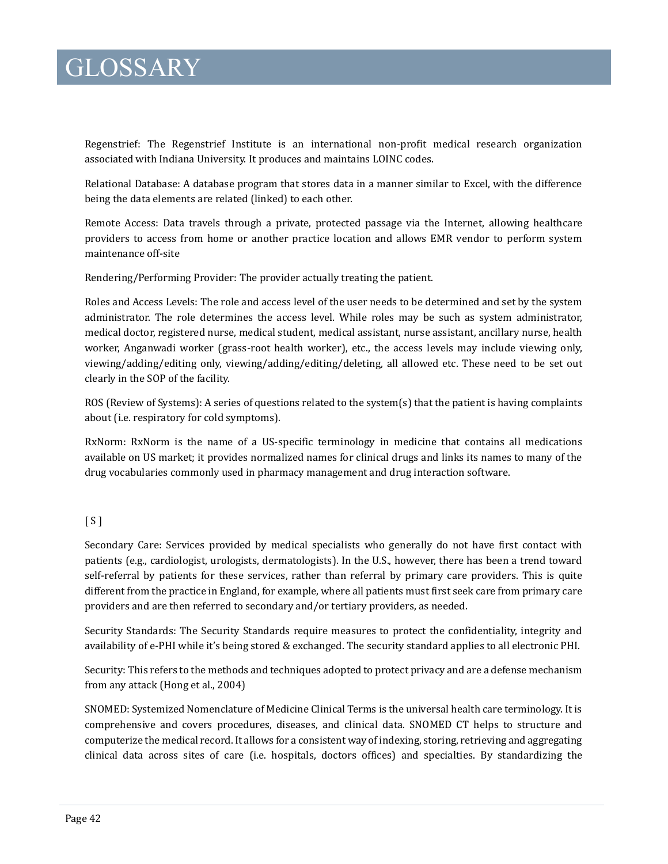Regenstrief: The Regenstrief Institute is an international non-profit medical research organization associated with Indiana University. It produces and maintains LOINC codes.

Relational Database: A database program that stores data in a manner similar to Excel, with the difference being the data elements are related (linked) to each other.

Remote Access: Data travels through a private, protected passage via the Internet, allowing healthcare providers to access from home or another practice location and allows EMR vendor to perform system maintenance off-site

Rendering/Performing Provider: The provider actually treating the patient.

Roles and Access Levels: The role and access level of the user needs to be determined and set by the system administrator. The role determines the access level. While roles may be such as system administrator, medical doctor, registered nurse, medical student, medical assistant, nurse assistant, ancillary nurse, health worker, Anganwadi worker (grass-root health worker), etc., the access levels may include viewing only, viewing/adding/editing only, viewing/adding/editing/deleting, all allowed etc. These need to be set out clearly in the SOP of the facility.

ROS (Review of Systems): A series of questions related to the system(s) that the patient is having complaints about (i.e. respiratory for cold symptoms).

RxNorm: RxNorm is the name of a US-specific terminology in medicine that contains all medications available on US market; it provides normalized names for clinical drugs and links its names to many of the drug vocabularies commonly used in pharmacy management and drug interaction software.

#### $\lceil S \rceil$

Secondary Care: Services provided by medical specialists who generally do not have first contact with patients (e.g., cardiologist, urologists, dermatologists). In the U.S., however, there has been a trend toward self-referral by patients for these services, rather than referral by primary care providers. This is quite different from the practice in England, for example, where all patients must first seek care from primary care providers and are then referred to secondary and/or tertiary providers, as needed.

Security Standards: The Security Standards require measures to protect the confidentiality, integrity and availability of e-PHI while it's being stored & exchanged. The security standard applies to all electronic PHI.

Security: This refers to the methods and techniques adopted to protect privacy and are a defense mechanism from any attack (Hong et al., 2004)

SNOMED: Systemized Nomenclature of Medicine Clinical Terms is the universal health care terminology. It is comprehensive and covers procedures, diseases, and clinical data. SNOMED CT helps to structure and computerize the medical record. It allows for a consistent way of indexing, storing, retrieving and aggregating clinical data across sites of care (i.e. hospitals, doctors offices) and specialties. By standardizing the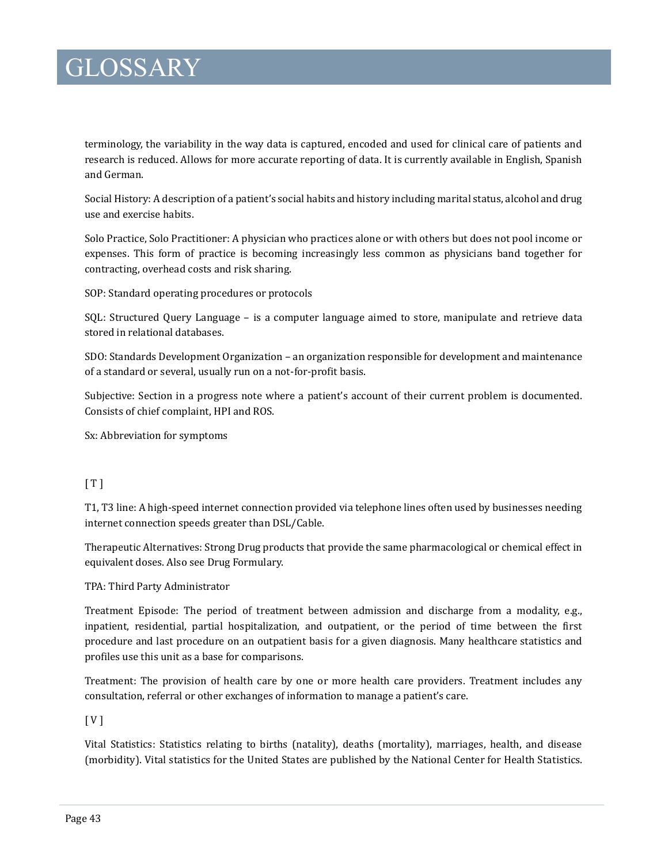terminology, the variability in the way data is captured, encoded and used for clinical care of patients and research is reduced. Allows for more accurate reporting of data. It is currently available in English, Spanish and German.

Social History: A description of a patient's social habits and history including marital status, alcohol and drug use and exercise habits.

Solo Practice, Solo Practitioner: A physician who practices alone or with others but does not pool income or expenses. This form of practice is becoming increasingly less common as physicians band together for contracting, overhead costs and risk sharing.

SOP: Standard operating procedures or protocols

SQL: Structured Query Language – is a computer language aimed to store, manipulate and retrieve data stored in relational databases.

SDO: Standards Development Organization – an organization responsible for development and maintenance of a standard or several, usually run on a not-for-profit basis.

Subjective: Section in a progress note where a patient's account of their current problem is documented. Consists of chief complaint, HPI and ROS.

Sx: Abbreviation for symptoms

### $[T]$

T1, T3 line: A high-speed internet connection provided via telephone lines often used by businesses needing internet connection speeds greater than DSL/Cable.

Therapeutic Alternatives: Strong Drug products that provide the same pharmacological or chemical effect in equivalent doses. Also see Drug Formulary.

TPA: Third Party Administrator

Treatment Episode: The period of treatment between admission and discharge from a modality, e.g., inpatient, residential, partial hospitalization, and outpatient, or the period of time between the first procedure and last procedure on an outpatient basis for a given diagnosis. Many healthcare statistics and profiles use this unit as a base for comparisons.

Treatment: The provision of health care by one or more health care providers. Treatment includes any consultation, referral or other exchanges of information to manage a patient's care.

[ V ]

Vital Statistics: Statistics relating to births (natality), deaths (mortality), marriages, health, and disease (morbidity). Vital statistics for the United States are published by the National Center for Health Statistics.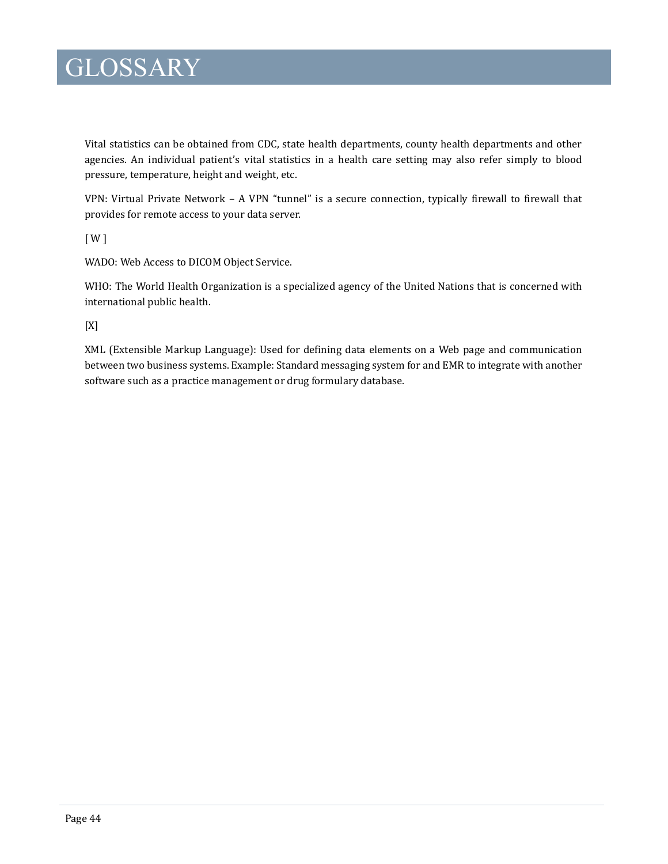Vital statistics can be obtained from CDC, state health departments, county health departments and other agencies. An individual patient's vital statistics in a health care setting may also refer simply to blood pressure, temperature, height and weight, etc.

VPN: Virtual Private Network – A VPN "tunnel" is a secure connection, typically firewall to firewall that provides for remote access to your data server.

[ W ]

WADO: Web Access to DICOM Object Service.

WHO: The World Health Organization is a specialized agency of the United Nations that is concerned with international public health.

[X]

XML (Extensible Markup Language): Used for defining data elements on a Web page and communication between two business systems. Example: Standard messaging system for and EMR to integrate with another software such as a practice management or drug formulary database.